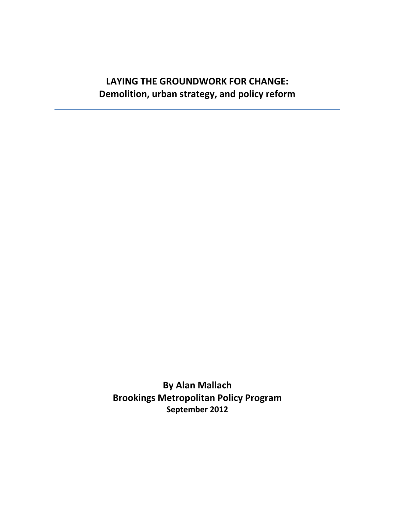## **LAYING THE GROUNDWORK FOR CHANGE: Demolition, urban strategy, and policy reform**

**By Alan Mallach Brookings Metropolitan Policy Program September 2012**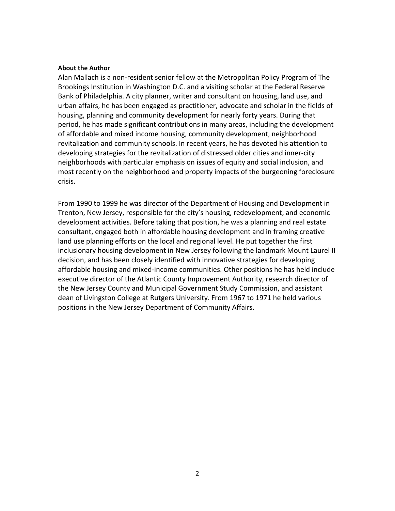#### **About the Author**

Alan Mallach is a non-resident senior fellow at the Metropolitan Policy Program of The Brookings Institution in Washington D.C. and a visiting scholar at the Federal Reserve Bank of Philadelphia. A city planner, writer and consultant on housing, land use, and urban affairs, he has been engaged as practitioner, advocate and scholar in the fields of housing, planning and community development for nearly forty years. During that period, he has made significant contributions in many areas, including the development of affordable and mixed income housing, community development, neighborhood revitalization and community schools. In recent years, he has devoted his attention to developing strategies for the revitalization of distressed older cities and inner-city neighborhoods with particular emphasis on issues of equity and social inclusion, and most recently on the neighborhood and property impacts of the burgeoning foreclosure crisis.

From 1990 to 1999 he was director of the Department of Housing and Development in Trenton, New Jersey, responsible for the city's housing, redevelopment, and economic development activities. Before taking that position, he was a planning and real estate consultant, engaged both in affordable housing development and in framing creative land use planning efforts on the local and regional level. He put together the first inclusionary housing development in New Jersey following the landmark Mount Laurel II decision, and has been closely identified with innovative strategies for developing affordable housing and mixed-income communities. Other positions he has held include executive director of the Atlantic County Improvement Authority, research director of the New Jersey County and Municipal Government Study Commission, and assistant dean of Livingston College at Rutgers University. From 1967 to 1971 he held various positions in the New Jersey Department of Community Affairs.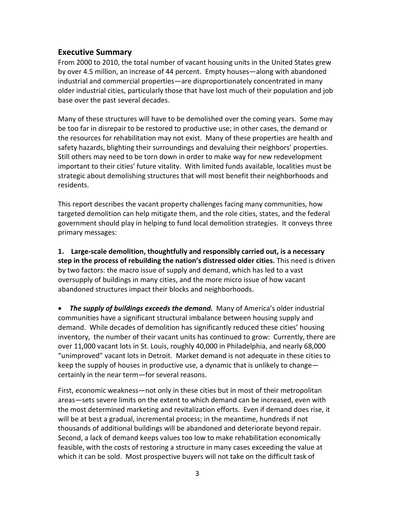#### **Executive Summary**

From 2000 to 2010, the total number of vacant housing units in the United States grew by over 4.5 million, an increase of 44 percent. Empty houses—along with abandoned industrial and commercial properties—are disproportionately concentrated in many older industrial cities, particularly those that have lost much of their population and job base over the past several decades.

Many of these structures will have to be demolished over the coming years. Some may be too far in disrepair to be restored to productive use; in other cases, the demand or the resources for rehabilitation may not exist. Many of these properties are health and safety hazards, blighting their surroundings and devaluing their neighbors' properties. Still others may need to be torn down in order to make way for new redevelopment important to their cities' future vitality. With limited funds available, localities must be strategic about demolishing structures that will most benefit their neighborhoods and residents.

This report describes the vacant property challenges facing many communities, how targeted demolition can help mitigate them, and the role cities, states, and the federal government should play in helping to fund local demolition strategies. It conveys three primary messages:

**1. Large-scale demolition, thoughtfully and responsibly carried out, is a necessary step in the process of rebuilding the nation's distressed older cities.** This need is driven by two factors: the macro issue of supply and demand, which has led to a vast oversupply of buildings in many cities, and the more micro issue of how vacant abandoned structures impact their blocks and neighborhoods.

• *The supply of buildings exceeds the demand.* Many of America's older industrial communities have a significant structural imbalance between housing supply and demand. While decades of demolition has significantly reduced these cities' housing inventory, the number of their vacant units has continued to grow: Currently, there are over 11,000 vacant lots in St. Louis, roughly 40,000 in Philadelphia, and nearly 68,000 "unimproved" vacant lots in Detroit. Market demand is not adequate in these cities to keep the supply of houses in productive use, a dynamic that is unlikely to change certainly in the near term—for several reasons.

First, economic weakness—not only in these cities but in most of their metropolitan areas—sets severe limits on the extent to which demand can be increased, even with the most determined marketing and revitalization efforts. Even if demand does rise, it will be at best a gradual, incremental process; in the meantime, hundreds if not thousands of additional buildings will be abandoned and deteriorate beyond repair. Second, a lack of demand keeps values too low to make rehabilitation economically feasible, with the costs of restoring a structure in many cases exceeding the value at which it can be sold. Most prospective buyers will not take on the difficult task of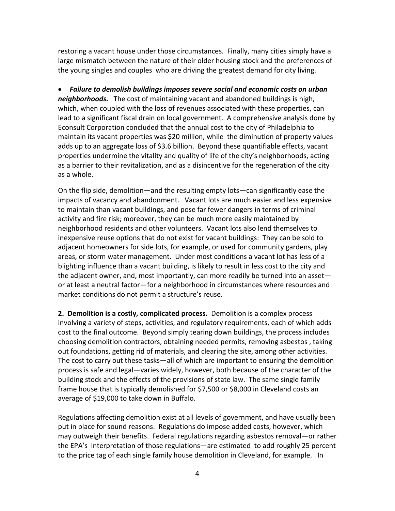restoring a vacant house under those circumstances. Finally, many cities simply have a large mismatch between the nature of their older housing stock and the preferences of the young singles and couples who are driving the greatest demand for city living.

• *Failure to demolish buildings imposes severe social and economic costs on urban neighborhoods.* The cost of maintaining vacant and abandoned buildings is high, which, when coupled with the loss of revenues associated with these properties, can lead to a significant fiscal drain on local government. A comprehensive analysis done by Econsult Corporation concluded that the annual cost to the city of Philadelphia to maintain its vacant properties was \$20 million, while the diminution of property values adds up to an aggregate loss of \$3.6 billion. Beyond these quantifiable effects, vacant properties undermine the vitality and quality of life of the city's neighborhoods, acting as a barrier to their revitalization, and as a disincentive for the regeneration of the city as a whole.

On the flip side, demolition—and the resulting empty lots—can significantly ease the impacts of vacancy and abandonment. Vacant lots are much easier and less expensive to maintain than vacant buildings, and pose far fewer dangers in terms of criminal activity and fire risk; moreover, they can be much more easily maintained by neighborhood residents and other volunteers. Vacant lots also lend themselves to inexpensive reuse options that do not exist for vacant buildings: They can be sold to adjacent homeowners for side lots, for example, or used for community gardens, play areas, or storm water management. Under most conditions a vacant lot has less of a blighting influence than a vacant building, is likely to result in less cost to the city and the adjacent owner, and, most importantly, can more readily be turned into an asset or at least a neutral factor—for a neighborhood in circumstances where resources and market conditions do not permit a structure's reuse.

**2. Demolition is a costly, complicated process.** Demolition is a complex process involving a variety of steps, activities, and regulatory requirements, each of which adds cost to the final outcome. Beyond simply tearing down buildings, the process includes choosing demolition contractors, obtaining needed permits, removing asbestos , taking out foundations, getting rid of materials, and clearing the site, among other activities. The cost to carry out these tasks—all of which are important to ensuring the demolition process is safe and legal—varies widely, however, both because of the character of the building stock and the effects of the provisions of state law. The same single family frame house that is typically demolished for \$7,500 or \$8,000 in Cleveland costs an average of \$19,000 to take down in Buffalo.

Regulations affecting demolition exist at all levels of government, and have usually been put in place for sound reasons. Regulations do impose added costs, however, which may outweigh their benefits. Federal regulations regarding asbestos removal—or rather the EPA's interpretation of those regulations—are estimated to add roughly 25 percent to the price tag of each single family house demolition in Cleveland, for example. In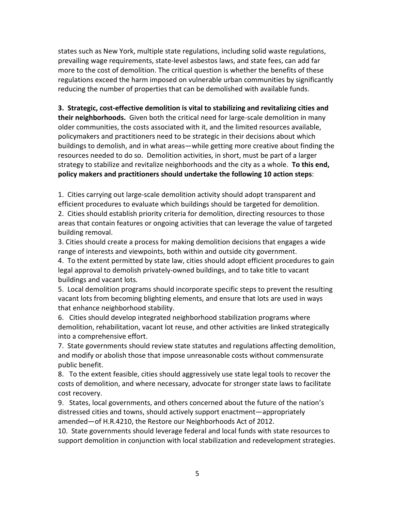states such as New York, multiple state regulations, including solid waste regulations, prevailing wage requirements, state-level asbestos laws, and state fees, can add far more to the cost of demolition. The critical question is whether the benefits of these regulations exceed the harm imposed on vulnerable urban communities by significantly reducing the number of properties that can be demolished with available funds.

**3. Strategic, cost-effective demolition is vital to stabilizing and revitalizing cities and their neighborhoods.** Given both the critical need for large-scale demolition in many older communities, the costs associated with it, and the limited resources available, policymakers and practitioners need to be strategic in their decisions about which buildings to demolish, and in what areas—while getting more creative about finding the resources needed to do so. Demolition activities, in short, must be part of a larger strategy to stabilize and revitalize neighborhoods and the city as a whole. **To this end, policy makers and practitioners should undertake the following 10 action steps**:

1. Cities carrying out large-scale demolition activity should adopt transparent and efficient procedures to evaluate which buildings should be targeted for demolition.

2. Cities should establish priority criteria for demolition, directing resources to those areas that contain features or ongoing activities that can leverage the value of targeted building removal.

3. Cities should create a process for making demolition decisions that engages a wide range of interests and viewpoints, both within and outside city government.

4. To the extent permitted by state law, cities should adopt efficient procedures to gain legal approval to demolish privately-owned buildings, and to take title to vacant buildings and vacant lots.

5. Local demolition programs should incorporate specific steps to prevent the resulting vacant lots from becoming blighting elements, and ensure that lots are used in ways that enhance neighborhood stability.

6. Cities should develop integrated neighborhood stabilization programs where demolition, rehabilitation, vacant lot reuse, and other activities are linked strategically into a comprehensive effort.

7. State governments should review state statutes and regulations affecting demolition, and modify or abolish those that impose unreasonable costs without commensurate public benefit.

8. To the extent feasible, cities should aggressively use state legal tools to recover the costs of demolition, and where necessary, advocate for stronger state laws to facilitate cost recovery.

9. States, local governments, and others concerned about the future of the nation's distressed cities and towns, should actively support enactment—appropriately amended—of H.R.4210, the Restore our Neighborhoods Act of 2012.

10. State governments should leverage federal and local funds with state resources to support demolition in conjunction with local stabilization and redevelopment strategies.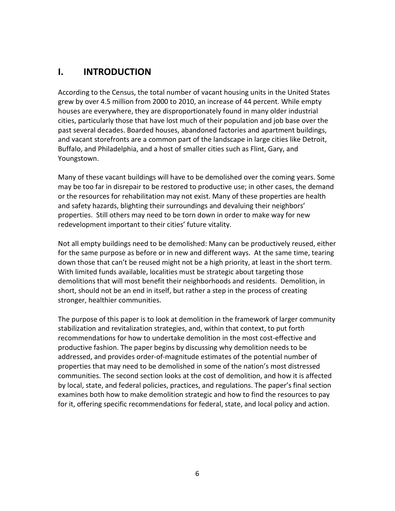## **I. INTRODUCTION**

According to the Census, the total number of vacant housing units in the United States grew by over 4.5 million from 2000 to 2010, an increase of 44 percent. While empty houses are everywhere, they are disproportionately found in many older industrial cities, particularly those that have lost much of their population and job base over the past several decades. Boarded houses, abandoned factories and apartment buildings, and vacant storefronts are a common part of the landscape in large cities like Detroit, Buffalo, and Philadelphia, and a host of smaller cities such as Flint, Gary, and Youngstown.

Many of these vacant buildings will have to be demolished over the coming years. Some may be too far in disrepair to be restored to productive use; in other cases, the demand or the resources for rehabilitation may not exist. Many of these properties are health and safety hazards, blighting their surroundings and devaluing their neighbors' properties. Still others may need to be torn down in order to make way for new redevelopment important to their cities' future vitality.

Not all empty buildings need to be demolished: Many can be productively reused, either for the same purpose as before or in new and different ways. At the same time, tearing down those that can't be reused might not be a high priority, at least in the short term. With limited funds available, localities must be strategic about targeting those demolitions that will most benefit their neighborhoods and residents. Demolition, in short, should not be an end in itself, but rather a step in the process of creating stronger, healthier communities.

The purpose of this paper is to look at demolition in the framework of larger community stabilization and revitalization strategies, and, within that context, to put forth recommendations for how to undertake demolition in the most cost-effective and productive fashion. The paper begins by discussing why demolition needs to be addressed, and provides order-of-magnitude estimates of the potential number of properties that may need to be demolished in some of the nation's most distressed communities. The second section looks at the cost of demolition, and how it is affected by local, state, and federal policies, practices, and regulations. The paper's final section examines both how to make demolition strategic and how to find the resources to pay for it, offering specific recommendations for federal, state, and local policy and action.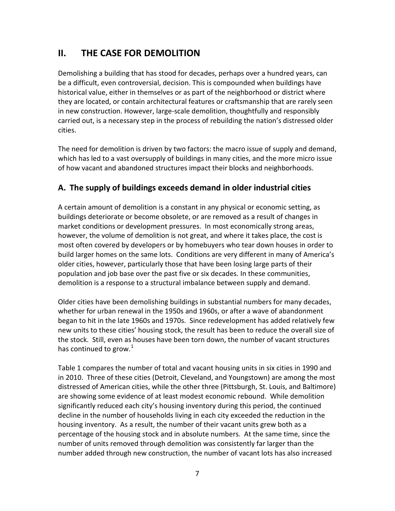## **II. THE CASE FOR DEMOLITION**

Demolishing a building that has stood for decades, perhaps over a hundred years, can be a difficult, even controversial, decision. This is compounded when buildings have historical value, either in themselves or as part of the neighborhood or district where they are located, or contain architectural features or craftsmanship that are rarely seen in new construction. However, large-scale demolition, thoughtfully and responsibly carried out, is a necessary step in the process of rebuilding the nation's distressed older cities.

The need for demolition is driven by two factors: the macro issue of supply and demand, which has led to a vast oversupply of buildings in many cities, and the more micro issue of how vacant and abandoned structures impact their blocks and neighborhoods.

### **A. The supply of buildings exceeds demand in older industrial cities**

A certain amount of demolition is a constant in any physical or economic setting, as buildings deteriorate or become obsolete, or are removed as a result of changes in market conditions or development pressures. In most economically strong areas, however, the volume of demolition is not great, and where it takes place, the cost is most often covered by developers or by homebuyers who tear down houses in order to build larger homes on the same lots. Conditions are very different in many of America's older cities, however, particularly those that have been losing large parts of their population and job base over the past five or six decades. In these communities, demolition is a response to a structural imbalance between supply and demand.

Older cities have been demolishing buildings in substantial numbers for many decades, whether for urban renewal in the 1950s and 1960s, or after a wave of abandonment began to hit in the late 1960s and 1970s. Since redevelopment has added relatively few new units to these cities' housing stock, the result has been to reduce the overall size of the stock. Still, even as houses have been torn down, the number of vacant structures has continued to grow. $1$ 

Table 1 compares the number of total and vacant housing units in six cities in 1990 and in 2010. Three of these cities (Detroit, Cleveland, and Youngstown) are among the most distressed of American cities, while the other three (Pittsburgh, St. Louis, and Baltimore) are showing some evidence of at least modest economic rebound. While demolition significantly reduced each city's housing inventory during this period, the continued decline in the number of households living in each city exceeded the reduction in the housing inventory. As a result, the number of their vacant units grew both as a percentage of the housing stock and in absolute numbers. At the same time, since the number of units removed through demolition was consistently far larger than the number added through new construction, the number of vacant lots has also increased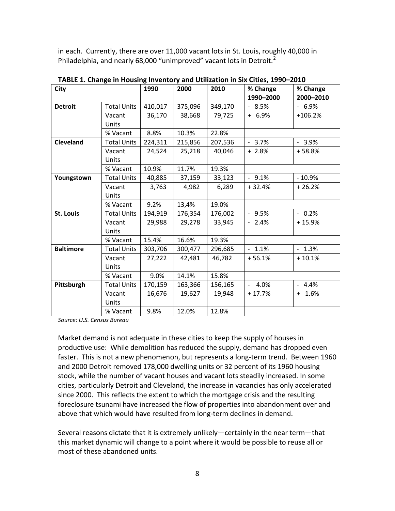in each. Currently, there are over 11,000 vacant lots in St. Louis, roughly 40,000 in Philadelphia, and nearly 68,000 "unimproved" vacant lots in Detroit.<sup>[2](#page-41-0)</sup>

| City             |                    | 1990    | 2000    | 2010    | % Change<br>1990-2000 | % Change<br>2000-2010 |
|------------------|--------------------|---------|---------|---------|-----------------------|-----------------------|
| <b>Detroit</b>   | <b>Total Units</b> | 410,017 | 375,096 | 349,170 | $-8.5%$               | $-6.9%$               |
|                  | Vacant             | 36,170  | 38,668  | 79,725  | $+ 6.9%$              | $+106.2%$             |
|                  | Units              |         |         |         |                       |                       |
|                  |                    |         |         |         |                       |                       |
|                  | % Vacant           | 8.8%    | 10.3%   | 22.8%   |                       |                       |
| <b>Cleveland</b> | <b>Total Units</b> | 224,311 | 215,856 | 207,536 | $-3.7%$               | $-3.9%$               |
|                  | Vacant             | 24,524  | 25,218  | 40,046  | $+2.8%$               | $+58.8%$              |
|                  | Units              |         |         |         |                       |                       |
|                  | % Vacant           | 10.9%   | 11.7%   | 19.3%   |                       |                       |
| Youngstown       | <b>Total Units</b> | 40,885  | 37,159  | 33,123  | $-9.1%$               | $-10.9%$              |
|                  | Vacant             | 3,763   | 4,982   | 6,289   | $+32.4%$              | $+26.2%$              |
|                  | Units              |         |         |         |                       |                       |
|                  | % Vacant           | 9.2%    | 13,4%   | 19.0%   |                       |                       |
| <b>St. Louis</b> | <b>Total Units</b> | 194,919 | 176,354 | 176,002 | $-9.5%$               | $-0.2%$               |
|                  | Vacant             | 29,988  | 29,278  | 33,945  | $-2.4%$               | $+15.9%$              |
|                  | Units              |         |         |         |                       |                       |
|                  | % Vacant           | 15.4%   | 16.6%   | 19.3%   |                       |                       |
| <b>Baltimore</b> | <b>Total Units</b> | 303,706 | 300,477 | 296,685 | $-1.1\%$              | $-1.3%$               |
|                  | Vacant             | 27,222  | 42,481  | 46,782  | $+56.1%$              | $+10.1%$              |
|                  | Units              |         |         |         |                       |                       |
|                  | % Vacant           | 9.0%    | 14.1%   | 15.8%   |                       |                       |
| Pittsburgh       | <b>Total Units</b> | 170,159 | 163,366 | 156,165 | 4.0%                  | $-4.4%$               |
|                  | Vacant             | 16,676  | 19,627  | 19,948  | $+17.7%$              | $+ 1.6%$              |
|                  | Units              |         |         |         |                       |                       |
|                  | % Vacant           | 9.8%    | 12.0%   | 12.8%   |                       |                       |

**TABLE 1. Change in Housing Inventory and Utilization in Six Cities, 1990–2010**

*Source: U.S. Census Bureau*

Market demand is not adequate in these cities to keep the supply of houses in productive use: While demolition has reduced the supply, demand has dropped even faster. This is not a new phenomenon, but represents a long-term trend. Between 1960 and 2000 Detroit removed 178,000 dwelling units or 32 percent of its 1960 housing stock, while the number of vacant houses and vacant lots steadily increased. In some cities, particularly Detroit and Cleveland, the increase in vacancies has only accelerated since 2000. This reflects the extent to which the mortgage crisis and the resulting foreclosure tsunami have increased the flow of properties into abandonment over and above that which would have resulted from long-term declines in demand.

Several reasons dictate that it is extremely unlikely—certainly in the near term—that this market dynamic will change to a point where it would be possible to reuse all or most of these abandoned units.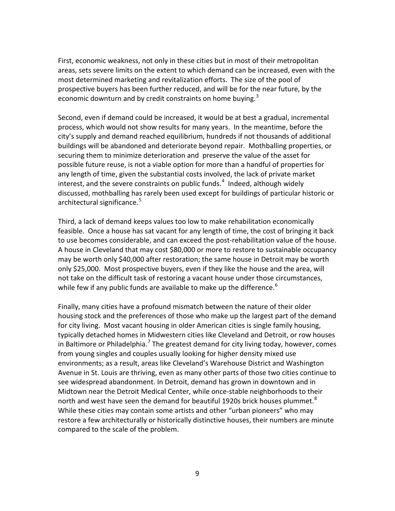First, economic weakness, not only in these cities but in most of their metropolitan areas, sets severe limits on the extent to which demand can be increased, even with the most determined marketing and revitalization efforts. The size of the pool of prospective buyers has been further reduced, and will be for the near future, by the economic downturn and by credit constraints on home buying.<sup>[3](#page-41-1)</sup>

Second, even if demand could be increased, it would be at best a gradual, incremental process, which would not show results for many years. In the meantime, before the city's supply and demand reached equilibrium, hundreds if not thousands of additional buildings will be abandoned and deteriorate beyond repair. Mothballing properties, or securing them to minimize deterioration and preserve the value of the asset for possible future reuse, is not a viable option for more than a handful of properties for any length of time, given the substantial costs involved, the lack of private market interest, and the severe constraints on public funds.<sup>[4](#page-41-2)</sup> Indeed, although widely discussed, mothballing has rarely been used except for buildings of particular historic or architectural significance.<sup>[5](#page-41-3)</sup>

Third, a lack of demand keeps values too low to make rehabilitation economically feasible. Once a house has sat vacant for any length of time, the cost of bringing it back to use becomes considerable, and can exceed the post-rehabilitation value of the house. A house in Cleveland that may cost \$80,000 or more to restore to sustainable occupancy may be worth only \$40,000 after restoration; the same house in Detroit may be worth only \$25,000. Most prospective buyers, even if they like the house and the area, will not take on the difficult task of restoring a vacant house under those circumstances, while few if any public funds are available to make up the difference.<sup>[6](#page-41-4)</sup>

Finally, many cities have a profound mismatch between the nature of their older housing stock and the preferences of those who make up the largest part of the demand for city living. Most vacant housing in older American cities is single family housing, typically detached homes in Midwestern cities like Cleveland and Detroit, or row houses in Baltimore or Philadelphia.<sup>[7](#page-41-5)</sup> The greatest demand for city living today, however, comes from young singles and couples usually looking for higher density mixed use environments; as a result, areas like Cleveland's Warehouse District and Washington Avenue in St. Louis are thriving, even as many other parts of those two cities continue to see widespread abandonment. In Detroit, demand has grown in downtown and in Midtown near the Detroit Medical Center, while once-stable neighborhoods to their north and west have seen the demand for beautiful 1920s brick houses plummet.<sup>[8](#page-41-6)</sup> While these cities may contain some artists and other "urban pioneers" who may restore a few architecturally or historically distinctive houses, their numbers are minute compared to the scale of the problem.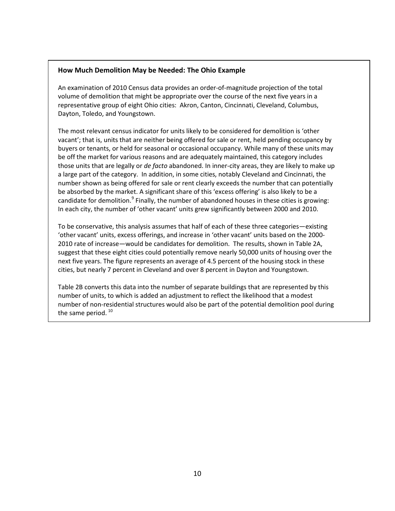#### **How Much Demolition May be Needed: The Ohio Example**

An examination of 2010 Census data provides an order-of-magnitude projection of the total volume of demolition that might be appropriate over the course of the next five years in a representative group of eight Ohio cities: Akron, Canton, Cincinnati, Cleveland, Columbus, Dayton, Toledo, and Youngstown.

The most relevant census indicator for units likely to be considered for demolition is 'other vacant'; that is, units that are neither being offered for sale or rent, held pending occupancy by buyers or tenants, or held for seasonal or occasional occupancy. While many of these units may be off the market for various reasons and are adequately maintained, this category includes those units that are legally or *de facto* abandoned. In inner-city areas, they are likely to make up a large part of the category. In addition, in some cities, notably Cleveland and Cincinnati, the number shown as being offered for sale or rent clearly exceeds the number that can potentially be absorbed by the market. A significant share of this 'excess offering' is also likely to be a candidate for demolition.<sup>[9](#page-42-0)</sup> Finally, the number of abandoned houses in these cities is growing: In each city, the number of 'other vacant' units grew significantly between 2000 and 2010.

To be conservative, this analysis assumes that half of each of these three categories—existing 'other vacant' units, excess offerings, and increase in 'other vacant' units based on the 2000- 2010 rate of increase—would be candidates for demolition. The results, shown in Table 2A, suggest that these eight cities could potentially remove nearly 50,000 units of housing over the next five years. The figure represents an average of 4.5 percent of the housing stock in these cities, but nearly 7 percent in Cleveland and over 8 percent in Dayton and Youngstown.

Table 2B converts this data into the number of separate buildings that are represented by this number of units, to which is added an adjustment to reflect the likelihood that a modest number of non-residential structures would also be part of the potential demolition pool during the same period.  $10$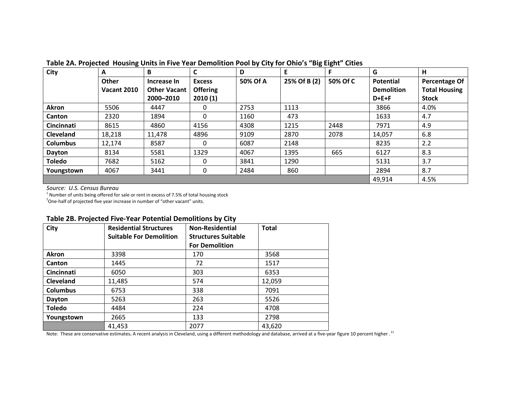| <b>City</b>      | A                  | B            | C               | D        | E            | F        | G                 | Н                    |
|------------------|--------------------|--------------|-----------------|----------|--------------|----------|-------------------|----------------------|
|                  | Other              | Increase In  | <b>Excess</b>   | 50% Of A | 25% Of B (2) | 50% Of C | <b>Potential</b>  | Percentage Of        |
|                  | <b>Vacant 2010</b> | Other Vacant | <b>Offering</b> |          |              |          | <b>Demolition</b> | <b>Total Housing</b> |
|                  |                    | 2000-2010    | 2010(1)         |          |              |          | $D + E + F$       | <b>Stock</b>         |
| Akron            | 5506               | 4447         | 0               | 2753     | 1113         |          | 3866              | 4.0%                 |
| <b>Canton</b>    | 2320               | 1894         | 0               | 1160     | 473          |          | 1633              | 4.7                  |
| Cincinnati       | 8615               | 4860         | 4156            | 4308     | 1215         | 2448     | 7971              | 4.9                  |
| <b>Cleveland</b> | 18,218             | 11,478       | 4896            | 9109     | 2870         | 2078     | 14,057            | 6.8                  |
| <b>Columbus</b>  | 12,174             | 8587         | 0               | 6087     | 2148         |          | 8235              | 2.2                  |
| Dayton           | 8134               | 5581         | 1329            | 4067     | 1395         | 665      | 6127              | 8.3                  |
| <b>Toledo</b>    | 7682               | 5162         | 0               | 3841     | 1290         |          | 5131              | 3.7                  |
| Youngstown       | 4067               | 3441         | 0               | 2484     | 860          |          | 2894              | 8.7                  |
|                  |                    |              |                 |          |              |          | 49,914            | 4.5%                 |

**Table 2A. Projected Housing Units in Five Year Demolition Pool by City for Ohio's "Big Eight" Cities**

*Source: U.S. Census Bureau*

 $1$  Number of units being offered for sale or rent in excess of 7.5% of total housing stock

 $2^2$ One-half of projected five year increase in number of "other vacant" units.

| Table 2B. Projected Five-Year Potential Demolitions by City |
|-------------------------------------------------------------|
|-------------------------------------------------------------|

| City            | <b>Residential Structures</b><br><b>Suitable For Demolition</b> | <b>Non-Residential</b><br><b>Structures Suitable</b> | <b>Total</b> |
|-----------------|-----------------------------------------------------------------|------------------------------------------------------|--------------|
|                 |                                                                 | <b>For Demolition</b>                                |              |
| Akron           | 3398                                                            | 170                                                  | 3568         |
| Canton          | 1445                                                            | 72                                                   | 1517         |
| Cincinnati      | 6050                                                            | 303                                                  | 6353         |
| Cleveland       | 11,485                                                          | 574                                                  | 12,059       |
| <b>Columbus</b> | 6753                                                            | 338                                                  | 7091         |
| Dayton          | 5263                                                            | 263                                                  | 5526         |
| <b>Toledo</b>   | 4484                                                            | 224                                                  | 4708         |
| Youngstown      | 2665                                                            | 133                                                  | 2798         |
|                 | 41,453                                                          | 2077                                                 | 43,620       |

Note: These are conservative estimates**.** A recent analysis in Cleveland, using a different methodology and database, arrived at a five-year figure 10 percent higher . [11](#page-42-2)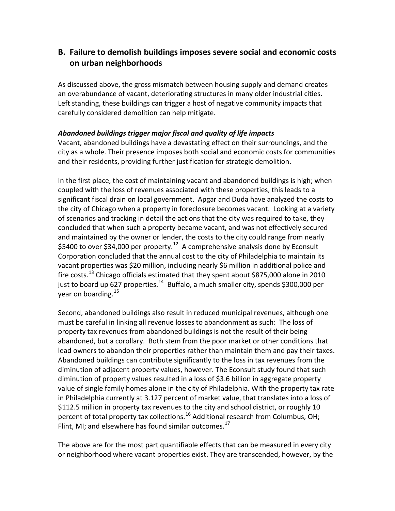## **B. Failure to demolish buildings imposes severe social and economic costs on urban neighborhoods**

As discussed above, the gross mismatch between housing supply and demand creates an overabundance of vacant, deteriorating structures in many older industrial cities. Left standing, these buildings can trigger a host of negative community impacts that carefully considered demolition can help mitigate.

#### *Abandoned buildings trigger major fiscal and quality of life impacts*

Vacant, abandoned buildings have a devastating effect on their surroundings, and the city as a whole. Their presence imposes both social and economic costs for communities and their residents, providing further justification for strategic demolition.

In the first place, the cost of maintaining vacant and abandoned buildings is high; when coupled with the loss of revenues associated with these properties, this leads to a significant fiscal drain on local government. Apgar and Duda have analyzed the costs to the city of Chicago when a property in foreclosure becomes vacant. Looking at a variety of scenarios and tracking in detail the actions that the city was required to take, they concluded that when such a property became vacant, and was not effectively secured and maintained by the owner or lender, the costs to the city could range from nearly \$5400 to over \$34,000 per property.<sup>12</sup> A comprehensive analysis done by Econsult Corporation concluded that the annual cost to the city of Philadelphia to maintain its vacant properties was \$20 million, including nearly \$6 million in additional police and fire costs.<sup>[13](#page-43-1)</sup> Chicago officials estimated that they spent about \$875,000 alone in 2010 just to board up 627 properties.<sup>14</sup> Buffalo, a much smaller city, spends \$300,000 per year on boarding.<sup>[15](#page-43-3)</sup>

Second, abandoned buildings also result in reduced municipal revenues, although one must be careful in linking all revenue losses to abandonment as such: The loss of property tax revenues from abandoned buildings is not the result of their being abandoned, but a corollary. Both stem from the poor market or other conditions that lead owners to abandon their properties rather than maintain them and pay their taxes. Abandoned buildings can contribute significantly to the loss in tax revenues from the diminution of adjacent property values, however. The Econsult study found that such diminution of property values resulted in a loss of \$3.6 billion in aggregate property value of single family homes alone in the city of Philadelphia. With the property tax rate in Philadelphia currently at 3.127 percent of market value, that translates into a loss of \$112.5 million in property tax revenues to the city and school district, or roughly 10 percent of total property tax collections.<sup>[16](#page-43-4)</sup> Additional research from Columbus, OH; Flint, MI; and elsewhere has found similar outcomes. $^{17}$  $^{17}$  $^{17}$ 

The above are for the most part quantifiable effects that can be measured in every city or neighborhood where vacant properties exist. They are transcended, however, by the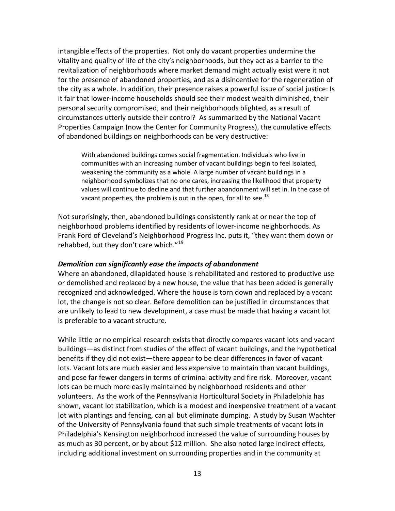intangible effects of the properties. Not only do vacant properties undermine the vitality and quality of life of the city's neighborhoods, but they act as a barrier to the revitalization of neighborhoods where market demand might actually exist were it not for the presence of abandoned properties, and as a disincentive for the regeneration of the city as a whole. In addition, their presence raises a powerful issue of social justice: Is it fair that lower-income households should see their modest wealth diminished, their personal security compromised, and their neighborhoods blighted, as a result of circumstances utterly outside their control? As summarized by the National Vacant Properties Campaign (now the Center for Community Progress), the cumulative effects of abandoned buildings on neighborhoods can be very destructive:

With abandoned buildings comes social fragmentation. Individuals who live in communities with an increasing number of vacant buildings begin to feel isolated, weakening the community as a whole. A large number of vacant buildings in a neighborhood symbolizes that no one cares, increasing the likelihood that property values will continue to decline and that further abandonment will set in. In the case of vacant properties, the problem is out in the open, for all to see.<sup>[18](#page-44-0)</sup>

Not surprisingly, then, abandoned buildings consistently rank at or near the top of neighborhood problems identified by residents of lower-income neighborhoods. As Frank Ford of Cleveland's Neighborhood Progress Inc. puts it, "they want them down or rehabbed, but they don't care which."<sup>[19](#page-44-1)</sup>

#### *Demolition can significantly ease the impacts of abandonment*

Where an abandoned, dilapidated house is rehabilitated and restored to productive use or demolished and replaced by a new house, the value that has been added is generally recognized and acknowledged. Where the house is torn down and replaced by a vacant lot, the change is not so clear. Before demolition can be justified in circumstances that are unlikely to lead to new development, a case must be made that having a vacant lot is preferable to a vacant structure.

While little or no empirical research exists that directly compares vacant lots and vacant buildings—as distinct from studies of the effect of vacant buildings, and the hypothetical benefits if they did not exist—there appear to be clear differences in favor of vacant lots. Vacant lots are much easier and less expensive to maintain than vacant buildings, and pose far fewer dangers in terms of criminal activity and fire risk. Moreover, vacant lots can be much more easily maintained by neighborhood residents and other volunteers. As the work of the Pennsylvania Horticultural Society in Philadelphia has shown, vacant lot stabilization, which is a modest and inexpensive treatment of a vacant lot with plantings and fencing, can all but eliminate dumping. A study by Susan Wachter of the University of Pennsylvania found that such simple treatments of vacant lots in Philadelphia's Kensington neighborhood increased the value of surrounding houses by as much as 30 percent, or by about \$12 million. She also noted large indirect effects, including additional investment on surrounding properties and in the community at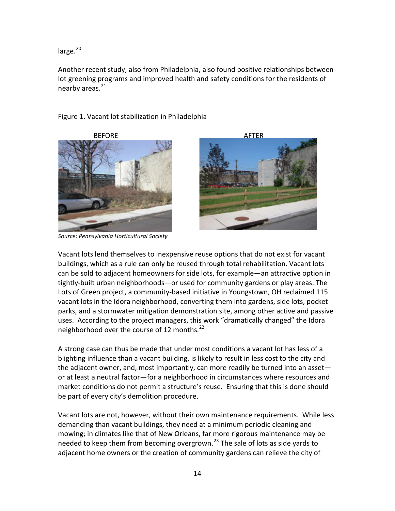large.<sup>[20](#page-45-0)</sup>

Another recent study, also from Philadelphia, also found positive relationships between lot greening programs and improved health and safety conditions for the residents of nearby areas.<sup>[21](#page-45-1)</sup>

#### Figure 1. Vacant lot stabilization in Philadelphia





Vacant lots lend themselves to inexpensive reuse options that do not exist for vacant buildings, which as a rule can only be reused through total rehabilitation. Vacant lots can be sold to adjacent homeowners for side lots, for example—an attractive option in tightly-built urban neighborhoods—or used for community gardens or play areas. The Lots of Green project, a community-based initiative in Youngstown, OH reclaimed 115 vacant lots in the Idora neighborhood, converting them into gardens, side lots, pocket parks, and a stormwater mitigation demonstration site, among other active and passive uses. According to the project managers, this work "dramatically changed" the Idora neighborhood over the course of 12 months.<sup>[22](#page-45-2)</sup>

A strong case can thus be made that under most conditions a vacant lot has less of a blighting influence than a vacant building, is likely to result in less cost to the city and the adjacent owner, and, most importantly, can more readily be turned into an asset or at least a neutral factor—for a neighborhood in circumstances where resources and market conditions do not permit a structure's reuse. Ensuring that this is done should be part of every city's demolition procedure.

Vacant lots are not, however, without their own maintenance requirements. While less demanding than vacant buildings, they need at a minimum periodic cleaning and mowing; in climates like that of New Orleans, far more rigorous maintenance may be needed to keep them from becoming overgrown.<sup>[23](#page-45-3)</sup> The sale of lots as side yards to adjacent home owners or the creation of community gardens can relieve the city of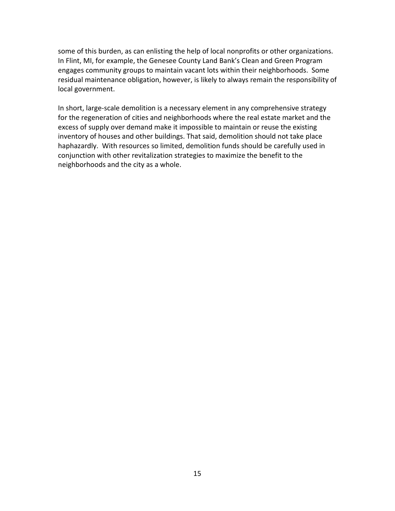some of this burden, as can enlisting the help of local nonprofits or other organizations. In Flint, MI, for example, the Genesee County Land Bank's Clean and Green Program engages community groups to maintain vacant lots within their neighborhoods. Some residual maintenance obligation, however, is likely to always remain the responsibility of local government.

In short, large-scale demolition is a necessary element in any comprehensive strategy for the regeneration of cities and neighborhoods where the real estate market and the excess of supply over demand make it impossible to maintain or reuse the existing inventory of houses and other buildings. That said, demolition should not take place haphazardly. With resources so limited, demolition funds should be carefully used in conjunction with other revitalization strategies to maximize the benefit to the neighborhoods and the city as a whole.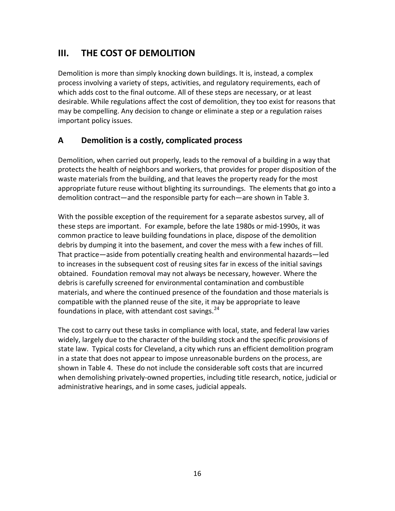## **III. THE COST OF DEMOLITION**

Demolition is more than simply knocking down buildings. It is, instead, a complex process involving a variety of steps, activities, and regulatory requirements, each of which adds cost to the final outcome. All of these steps are necessary, or at least desirable. While regulations affect the cost of demolition, they too exist for reasons that may be compelling. Any decision to change or eliminate a step or a regulation raises important policy issues.

## **A Demolition is a costly, complicated process**

Demolition, when carried out properly, leads to the removal of a building in a way that protects the health of neighbors and workers, that provides for proper disposition of the waste materials from the building, and that leaves the property ready for the most appropriate future reuse without blighting its surroundings. The elements that go into a demolition contract—and the responsible party for each—are shown in Table 3.

With the possible exception of the requirement for a separate asbestos survey, all of these steps are important. For example, before the late 1980s or mid-1990s, it was common practice to leave building foundations in place, dispose of the demolition debris by dumping it into the basement, and cover the mess with a few inches of fill. That practice—aside from potentially creating health and environmental hazards—led to increases in the subsequent cost of reusing sites far in excess of the initial savings obtained. Foundation removal may not always be necessary, however. Where the debris is carefully screened for environmental contamination and combustible materials, and where the continued presence of the foundation and those materials is compatible with the planned reuse of the site, it may be appropriate to leave foundations in place, with attendant cost savings. $^{24}$  $^{24}$  $^{24}$ 

The cost to carry out these tasks in compliance with local, state, and federal law varies widely, largely due to the character of the building stock and the specific provisions of state law. Typical costs for Cleveland, a city which runs an efficient demolition program in a state that does not appear to impose unreasonable burdens on the process, are shown in Table 4. These do not include the considerable soft costs that are incurred when demolishing privately-owned properties, including title research, notice, judicial or administrative hearings, and in some cases, judicial appeals.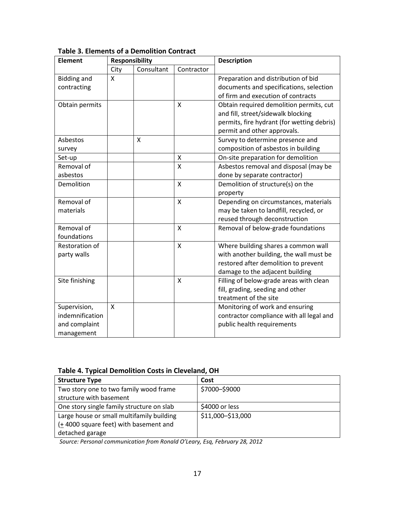| <b>Element</b>     | <b>Responsibility</b> |            |                           | <b>Description</b>                         |  |
|--------------------|-----------------------|------------|---------------------------|--------------------------------------------|--|
|                    | City                  | Consultant | Contractor                |                                            |  |
| <b>Bidding and</b> | X                     |            |                           | Preparation and distribution of bid        |  |
| contracting        |                       |            |                           | documents and specifications, selection    |  |
|                    |                       |            |                           | of firm and execution of contracts         |  |
| Obtain permits     |                       |            | $\mathsf{x}$              | Obtain required demolition permits, cut    |  |
|                    |                       |            |                           | and fill, street/sidewalk blocking         |  |
|                    |                       |            |                           | permits, fire hydrant (for wetting debris) |  |
|                    |                       |            |                           | permit and other approvals.                |  |
| Asbestos           |                       | X          |                           | Survey to determine presence and           |  |
| survey             |                       |            |                           | composition of asbestos in building        |  |
| Set-up             |                       |            | Χ                         | On-site preparation for demolition         |  |
| Removal of         |                       |            | X                         | Asbestos removal and disposal (may be      |  |
| asbestos           |                       |            |                           | done by separate contractor)               |  |
| Demolition         |                       |            | $\mathsf{x}$              | Demolition of structure(s) on the          |  |
|                    |                       |            |                           | property                                   |  |
| Removal of         |                       |            | $\sf X$                   | Depending on circumstances, materials      |  |
| materials          |                       |            |                           | may be taken to landfill, recycled, or     |  |
|                    |                       |            |                           | reused through deconstruction              |  |
| Removal of         |                       |            | $\mathsf{x}$              | Removal of below-grade foundations         |  |
| foundations        |                       |            |                           |                                            |  |
| Restoration of     |                       |            | $\boldsymbol{\mathsf{X}}$ | Where building shares a common wall        |  |
| party walls        |                       |            |                           | with another building, the wall must be    |  |
|                    |                       |            |                           | restored after demolition to prevent       |  |
|                    |                       |            |                           | damage to the adjacent building            |  |
| Site finishing     |                       |            | X                         | Filling of below-grade areas with clean    |  |
|                    |                       |            |                           | fill, grading, seeding and other           |  |
|                    |                       |            |                           | treatment of the site                      |  |
| Supervision,       | X                     |            |                           | Monitoring of work and ensuring            |  |
| indemnification    |                       |            |                           | contractor compliance with all legal and   |  |
| and complaint      |                       |            |                           | public health requirements                 |  |
| management         |                       |            |                           |                                            |  |

**Table 3. Elements of a Demolition Contract**

**Table 4. Typical Demolition Costs in Cleveland, OH**

| <b>Structure Type</b>                     | Cost              |
|-------------------------------------------|-------------------|
| Two story one to two family wood frame    | \$7000-\$9000     |
| structure with basement                   |                   |
| One story single family structure on slab | \$4000 or less    |
| Large house or small multifamily building | \$11,000-\$13,000 |
| (+4000 square feet) with basement and     |                   |
| detached garage                           |                   |

*Source: Personal communication from Ronald O'Leary, Esq, February 28, 2012*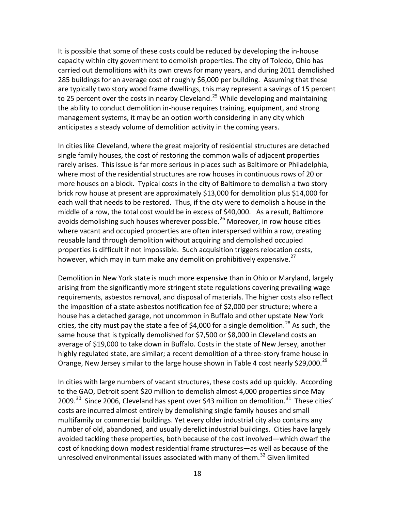It is possible that some of these costs could be reduced by developing the in-house capacity within city government to demolish properties. The city of Toledo, Ohio has carried out demolitions with its own crews for many years, and during 2011 demolished 285 buildings for an average cost of roughly \$6,000 per building. Assuming that these are typically two story wood frame dwellings, this may represent a savings of 15 percent to [25](#page-46-1) percent over the costs in nearby Cleveland.<sup>25</sup> While developing and maintaining the ability to conduct demolition in-house requires training, equipment, and strong management systems, it may be an option worth considering in any city which anticipates a steady volume of demolition activity in the coming years.

In cities like Cleveland, where the great majority of residential structures are detached single family houses, the cost of restoring the common walls of adjacent properties rarely arises. This issue is far more serious in places such as Baltimore or Philadelphia, where most of the residential structures are row houses in continuous rows of 20 or more houses on a block. Typical costs in the city of Baltimore to demolish a two story brick row house at present are approximately \$13,000 for demolition plus \$14,000 for each wall that needs to be restored. Thus, if the city were to demolish a house in the middle of a row, the total cost would be in excess of \$40,000. As a result, Baltimore avoids demolishing such houses wherever possible.<sup>[26](#page-46-2)</sup> Moreover, in row house cities where vacant and occupied properties are often interspersed within a row, creating reusable land through demolition without acquiring and demolished occupied properties is difficult if not impossible. Such acquisition triggers relocation costs, however, which may in turn make any demolition prohibitively expensive.<sup>[27](#page-46-3)</sup>

Demolition in New York state is much more expensive than in Ohio or Maryland, largely arising from the significantly more stringent state regulations covering prevailing wage requirements, asbestos removal, and disposal of materials. The higher costs also reflect the imposition of a state asbestos notification fee of \$2,000 per structure; where a house has a detached garage, not uncommon in Buffalo and other upstate New York cities, the city must pay the state a fee of \$4,000 for a single demolition.<sup>[28](#page-46-4)</sup> As such, the same house that is typically demolished for \$7,500 or \$8,000 in Cleveland costs an average of \$19,000 to take down in Buffalo. Costs in the state of New Jersey, another highly regulated state, are similar; a recent demolition of a three-story frame house in Orange, New Jersey similar to the large house shown in Table 4 cost nearly \$[29](#page-46-5),000.<sup>29</sup>

In cities with large numbers of vacant structures, these costs add up quickly. According to the GAO, Detroit spent \$20 million to demolish almost 4,000 properties since May 2009. $^{30}$  $^{30}$  $^{30}$  Since 2006, Cleveland has spent over \$43 million on demolition. $^{31}$  $^{31}$  $^{31}$  These cities' costs are incurred almost entirely by demolishing single family houses and small multifamily or commercial buildings. Yet every older industrial city also contains any number of old, abandoned, and usually derelict industrial buildings. Cities have largely avoided tackling these properties, both because of the cost involved—which dwarf the cost of knocking down modest residential frame structures—as well as because of the unresolved environmental issues associated with many of them.<sup>[32](#page-46-8)</sup> Given limited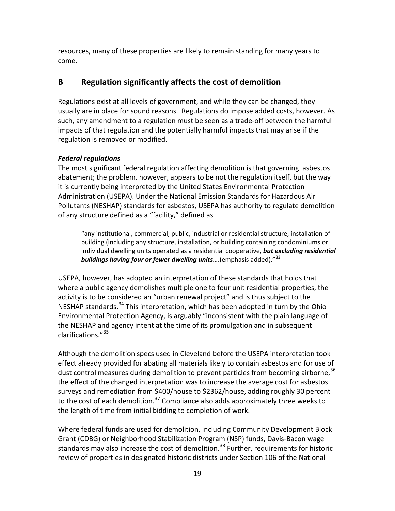resources, many of these properties are likely to remain standing for many years to come.

## **B Regulation significantly affects the cost of demolition**

Regulations exist at all levels of government, and while they can be changed, they usually are in place for sound reasons. Regulations do impose added costs, however. As such, any amendment to a regulation must be seen as a trade-off between the harmful impacts of that regulation and the potentially harmful impacts that may arise if the regulation is removed or modified.

#### *Federal regulations*

The most significant federal regulation affecting demolition is that governing asbestos abatement; the problem, however, appears to be not the regulation itself, but the way it is currently being interpreted by the United States Environmental Protection Administration (USEPA). Under the National Emission Standards for Hazardous Air Pollutants (NESHAP) standards for asbestos, USEPA has authority to regulate demolition of any structure defined as a "facility," defined as

"any institutional, commercial, public, industrial or residential structure, installation of building (including any structure, installation, or building containing condominiums or individual dwelling units operated as a residential cooperative, *but excluding residential buildings having four or fewer dwelling units*….(emphasis added)."[33](#page-46-9) 

USEPA, however, has adopted an interpretation of these standards that holds that where a public agency demolishes multiple one to four unit residential properties, the activity is to be considered an "urban renewal project" and is thus subject to the NESHAP standards.<sup>[34](#page-46-10)</sup> This interpretation, which has been adopted in turn by the Ohio Environmental Protection Agency, is arguably "inconsistent with the plain language of the NESHAP and agency intent at the time of its promulgation and in subsequent clarifications."[35](#page-46-11)

Although the demolition specs used in Cleveland before the USEPA interpretation took effect already provided for abating all materials likely to contain asbestos and for use of dust control measures during demolition to prevent particles from becoming airborne,<sup>[36](#page-46-12)</sup> the effect of the changed interpretation was to increase the average cost for asbestos surveys and remediation from \$400/house to \$2362/house, adding roughly 30 percent to the cost of each demolition. $37$  Compliance also adds approximately three weeks to the length of time from initial bidding to completion of work.

Where federal funds are used for demolition, including Community Development Block Grant (CDBG) or Neighborhood Stabilization Program (NSP) funds, Davis-Bacon wage standards may also increase the cost of demolition.<sup>[38](#page-46-14)</sup> Further, requirements for historic review of properties in designated historic districts under Section 106 of the National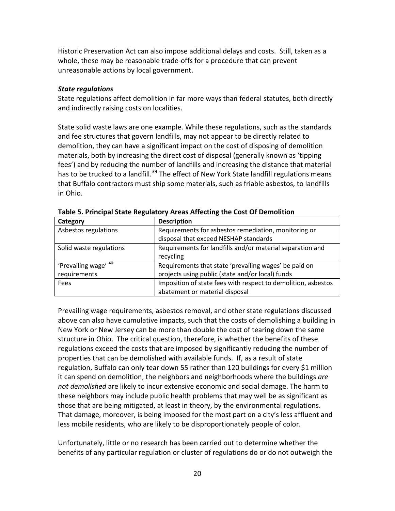Historic Preservation Act can also impose additional delays and costs. Still, taken as a whole, these may be reasonable trade-offs for a procedure that can prevent unreasonable actions by local government.

#### *State regulations*

State regulations affect demolition in far more ways than federal statutes, both directly and indirectly raising costs on localities.

State solid waste laws are one example. While these regulations, such as the standards and fee structures that govern landfills, may not appear to be directly related to demolition, they can have a significant impact on the cost of disposing of demolition materials, both by increasing the direct cost of disposal (generally known as 'tipping fees') and by reducing the number of landfills and increasing the distance that material has to be trucked to a landfill.<sup>[39](#page-46-15)</sup> The effect of New York State landfill regulations means that Buffalo contractors must ship some materials, such as friable asbestos, to landfills in Ohio.

| Category                | <b>Description</b>                                            |
|-------------------------|---------------------------------------------------------------|
| Asbestos regulations    | Requirements for asbestos remediation, monitoring or          |
|                         | disposal that exceed NESHAP standards                         |
| Solid waste regulations | Requirements for landfills and/or material separation and     |
|                         | recycling                                                     |
| 'Prevailing wage' 40    | Requirements that state 'prevailing wages' be paid on         |
| requirements            | projects using public (state and/or local) funds              |
| Fees                    | Imposition of state fees with respect to demolition, asbestos |
|                         | abatement or material disposal                                |

**Table 5. Principal State Regulatory Areas Affecting the Cost Of Demolition**

Prevailing wage requirements, asbestos removal, and other state regulations discussed above can also have cumulative impacts, such that the costs of demolishing a building in New York or New Jersey can be more than double the cost of tearing down the same structure in Ohio. The critical question, therefore, is whether the benefits of these regulations exceed the costs that are imposed by significantly reducing the number of properties that can be demolished with available funds. If, as a result of state regulation, Buffalo can only tear down 55 rather than 120 buildings for every \$1 million it can spend on demolition, the neighbors and neighborhoods where the buildings *are not demolished* are likely to incur extensive economic and social damage. The harm to these neighbors may include public health problems that may well be as significant as those that are being mitigated, at least in theory, by the environmental regulations. That damage, moreover, is being imposed for the most part on a city's less affluent and less mobile residents, who are likely to be disproportionately people of color.

Unfortunately, little or no research has been carried out to determine whether the benefits of any particular regulation or cluster of regulations do or do not outweigh the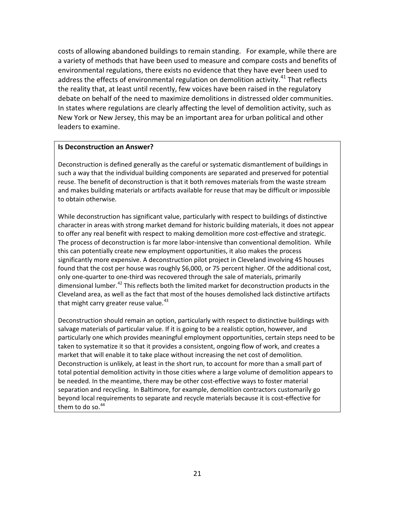costs of allowing abandoned buildings to remain standing. For example, while there are a variety of methods that have been used to measure and compare costs and benefits of environmental regulations, there exists no evidence that they have ever been used to address the effects of environmental regulation on demolition activity.<sup>[41](#page-46-17)</sup> That reflects the reality that, at least until recently, few voices have been raised in the regulatory debate on behalf of the need to maximize demolitions in distressed older communities. In states where regulations are clearly affecting the level of demolition activity, such as New York or New Jersey, this may be an important area for urban political and other leaders to examine.

#### **Is Deconstruction an Answer?**

Deconstruction is defined generally as the careful or systematic dismantlement of buildings in such a way that the individual building components are separated and preserved for potential reuse. The benefit of deconstruction is that it both removes materials from the waste stream and makes building materials or artifacts available for reuse that may be difficult or impossible to obtain otherwise.

While deconstruction has significant value, particularly with respect to buildings of distinctive character in areas with strong market demand for historic building materials, it does not appear to offer any real benefit with respect to making demolition more cost-effective and strategic. The process of deconstruction is far more labor-intensive than conventional demolition. While this can potentially create new employment opportunities, it also makes the process significantly more expensive. A deconstruction pilot project in Cleveland involving 45 houses found that the cost per house was roughly \$6,000, or 75 percent higher. Of the additional cost, only one-quarter to one-third was recovered through the sale of materials, primarily dimensional lumber.<sup>[42](#page-46-18)</sup> This reflects both the limited market for deconstruction products in the Cleveland area, as well as the fact that most of the houses demolished lack distinctive artifacts that might carry greater reuse value. $43$ 

Deconstruction should remain an option, particularly with respect to distinctive buildings with salvage materials of particular value. If it is going to be a realistic option, however, and particularly one which provides meaningful employment opportunities, certain steps need to be taken to systematize it so that it provides a consistent, ongoing flow of work, and creates a market that will enable it to take place without increasing the net cost of demolition. Deconstruction is unlikely, at least in the short run, to account for more than a small part of total potential demolition activity in those cities where a large volume of demolition appears to be needed. In the meantime, there may be other cost-effective ways to foster material separation and recycling. In Baltimore, for example, demolition contractors customarily go beyond local requirements to separate and recycle materials because it is cost-effective for them to do so. $44$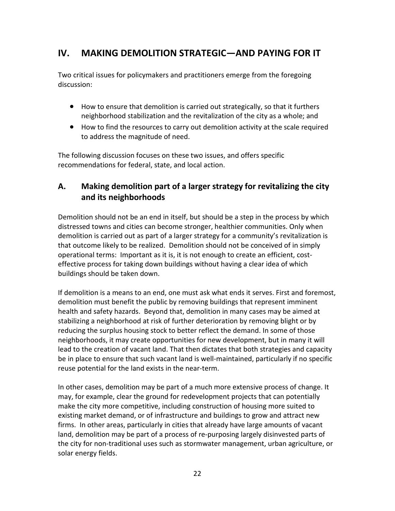## **IV. MAKING DEMOLITION STRATEGIC—AND PAYING FOR IT**

Two critical issues for policymakers and practitioners emerge from the foregoing discussion:

- How to ensure that demolition is carried out strategically, so that it furthers neighborhood stabilization and the revitalization of the city as a whole; and
- How to find the resources to carry out demolition activity at the scale required to address the magnitude of need.

The following discussion focuses on these two issues, and offers specific recommendations for federal, state, and local action.

## **A. Making demolition part of a larger strategy for revitalizing the city and its neighborhoods**

Demolition should not be an end in itself, but should be a step in the process by which distressed towns and cities can become stronger, healthier communities. Only when demolition is carried out as part of a larger strategy for a community's revitalization is that outcome likely to be realized. Demolition should not be conceived of in simply operational terms: Important as it is, it is not enough to create an efficient, costeffective process for taking down buildings without having a clear idea of which buildings should be taken down.

If demolition is a means to an end, one must ask what ends it serves. First and foremost, demolition must benefit the public by removing buildings that represent imminent health and safety hazards. Beyond that, demolition in many cases may be aimed at stabilizing a neighborhood at risk of further deterioration by removing blight or by reducing the surplus housing stock to better reflect the demand. In some of those neighborhoods, it may create opportunities for new development, but in many it will lead to the creation of vacant land. That then dictates that both strategies and capacity be in place to ensure that such vacant land is well-maintained, particularly if no specific reuse potential for the land exists in the near-term.

In other cases, demolition may be part of a much more extensive process of change. It may, for example, clear the ground for redevelopment projects that can potentially make the city more competitive, including construction of housing more suited to existing market demand, or of infrastructure and buildings to grow and attract new firms. In other areas, particularly in cities that already have large amounts of vacant land, demolition may be part of a process of re-purposing largely disinvested parts of the city for non-traditional uses such as stormwater management, urban agriculture, or solar energy fields.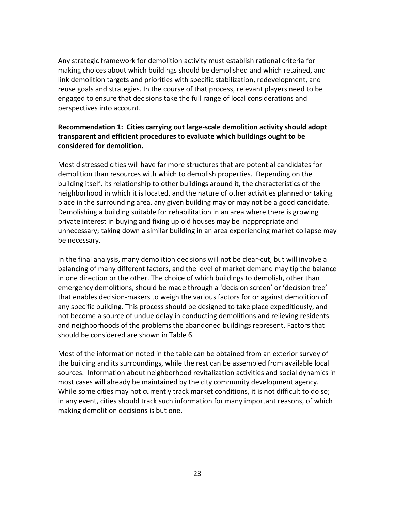Any strategic framework for demolition activity must establish rational criteria for making choices about which buildings should be demolished and which retained, and link demolition targets and priorities with specific stabilization, redevelopment, and reuse goals and strategies. In the course of that process, relevant players need to be engaged to ensure that decisions take the full range of local considerations and perspectives into account.

#### **Recommendation 1: Cities carrying out large-scale demolition activity should adopt transparent and efficient procedures to evaluate which buildings ought to be considered for demolition.**

Most distressed cities will have far more structures that are potential candidates for demolition than resources with which to demolish properties. Depending on the building itself, its relationship to other buildings around it, the characteristics of the neighborhood in which it is located, and the nature of other activities planned or taking place in the surrounding area, any given building may or may not be a good candidate. Demolishing a building suitable for rehabilitation in an area where there is growing private interest in buying and fixing up old houses may be inappropriate and unnecessary; taking down a similar building in an area experiencing market collapse may be necessary.

In the final analysis, many demolition decisions will not be clear-cut, but will involve a balancing of many different factors, and the level of market demand may tip the balance in one direction or the other. The choice of which buildings to demolish, other than emergency demolitions, should be made through a 'decision screen' or 'decision tree' that enables decision-makers to weigh the various factors for or against demolition of any specific building. This process should be designed to take place expeditiously, and not become a source of undue delay in conducting demolitions and relieving residents and neighborhoods of the problems the abandoned buildings represent. Factors that should be considered are shown in Table 6.

Most of the information noted in the table can be obtained from an exterior survey of the building and its surroundings, while the rest can be assembled from available local sources. Information about neighborhood revitalization activities and social dynamics in most cases will already be maintained by the city community development agency. While some cities may not currently track market conditions, it is not difficult to do so; in any event, cities should track such information for many important reasons, of which making demolition decisions is but one.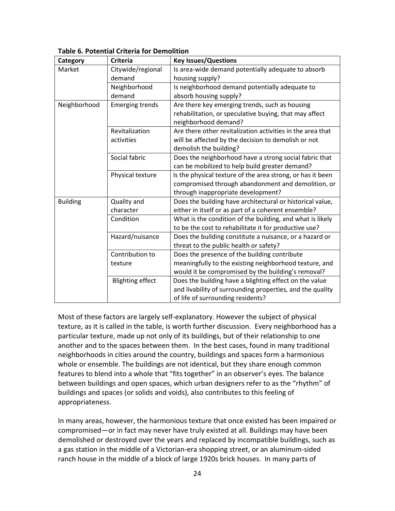| Category        | <b>Criteria</b>         | <b>Key Issues/Questions</b>                                |
|-----------------|-------------------------|------------------------------------------------------------|
| Market          | Citywide/regional       | Is area-wide demand potentially adequate to absorb         |
|                 | demand                  | housing supply?                                            |
|                 | Neighborhood            | Is neighborhood demand potentially adequate to             |
|                 | demand                  | absorb housing supply?                                     |
| Neighborhood    | <b>Emerging trends</b>  | Are there key emerging trends, such as housing             |
|                 |                         | rehabilitation, or speculative buying, that may affect     |
|                 |                         | neighborhood demand?                                       |
|                 | Revitalization          | Are there other revitalization activities in the area that |
|                 | activities              | will be affected by the decision to demolish or not        |
|                 |                         | demolish the building?                                     |
|                 | Social fabric           | Does the neighborhood have a strong social fabric that     |
|                 |                         | can be mobilized to help build greater demand?             |
|                 | Physical texture        | Is the physical texture of the area strong, or has it been |
|                 |                         | compromised through abandonment and demolition, or         |
|                 |                         | through inappropriate development?                         |
| <b>Building</b> | Quality and             | Does the building have architectural or historical value,  |
|                 | character               | either in itself or as part of a coherent ensemble?        |
|                 | Condition               | What is the condition of the building, and what is likely  |
|                 |                         | to be the cost to rehabilitate it for productive use?      |
|                 | Hazard/nuisance         | Does the building constitute a nuisance, or a hazard or    |
|                 |                         | threat to the public health or safety?                     |
|                 | Contribution to         | Does the presence of the building contribute               |
|                 | texture                 | meaningfully to the existing neighborhood texture, and     |
|                 |                         | would it be compromised by the building's removal?         |
|                 | <b>Blighting effect</b> | Does the building have a blighting effect on the value     |
|                 |                         | and livability of surrounding properties, and the quality  |
|                 |                         | of life of surrounding residents?                          |

#### **Table 6. Potential Criteria for Demolition**

Most of these factors are largely self-explanatory. However the subject of physical texture, as it is called in the table, is worth further discussion. Every neighborhood has a particular texture, made up not only of its buildings, but of their relationship to one another and to the spaces between them. In the best cases, found in many traditional neighborhoods in cities around the country, buildings and spaces form a harmonious whole or ensemble. The buildings are not identical, but they share enough common features to blend into a whole that "fits together" in an observer's eyes. The balance between buildings and open spaces, which urban designers refer to as the "rhythm" of buildings and spaces (or solids and voids), also contributes to this feeling of appropriateness.

In many areas, however, the harmonious texture that once existed has been impaired or compromised—or in fact may never have truly existed at all. Buildings may have been demolished or destroyed over the years and replaced by incompatible buildings, such as a gas station in the middle of a Victorian-era shopping street, or an aluminum-sided ranch house in the middle of a block of large 1920s brick houses. In many parts of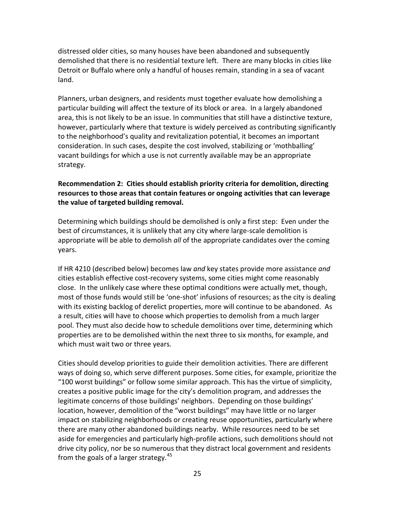distressed older cities, so many houses have been abandoned and subsequently demolished that there is no residential texture left. There are many blocks in cities like Detroit or Buffalo where only a handful of houses remain, standing in a sea of vacant land.

Planners, urban designers, and residents must together evaluate how demolishing a particular building will affect the texture of its block or area. In a largely abandoned area, this is not likely to be an issue. In communities that still have a distinctive texture, however, particularly where that texture is widely perceived as contributing significantly to the neighborhood's quality and revitalization potential, it becomes an important consideration. In such cases, despite the cost involved, stabilizing or 'mothballing' vacant buildings for which a use is not currently available may be an appropriate strategy.

#### **Recommendation 2: Cities should establish priority criteria for demolition, directing resources to those areas that contain features or ongoing activities that can leverage the value of targeted building removal.**

Determining which buildings should be demolished is only a first step: Even under the best of circumstances, it is unlikely that any city where large-scale demolition is appropriate will be able to demolish *all* of the appropriate candidates over the coming years.

If HR 4210 (described below) becomes law *and* key states provide more assistance *and*  cities establish effective cost-recovery systems, some cities might come reasonably close. In the unlikely case where these optimal conditions were actually met, though, most of those funds would still be 'one-shot' infusions of resources; as the city is dealing with its existing backlog of derelict properties, more will continue to be abandoned. As a result, cities will have to choose which properties to demolish from a much larger pool. They must also decide how to schedule demolitions over time, determining which properties are to be demolished within the next three to six months, for example, and which must wait two or three years.

Cities should develop priorities to guide their demolition activities. There are different ways of doing so, which serve different purposes. Some cities, for example, prioritize the "100 worst buildings" or follow some similar approach. This has the virtue of simplicity, creates a positive public image for the city's demolition program, and addresses the legitimate concerns of those buildings' neighbors. Depending on those buildings' location, however, demolition of the "worst buildings" may have little or no larger impact on stabilizing neighborhoods or creating reuse opportunities, particularly where there are many other abandoned buildings nearby. While resources need to be set aside for emergencies and particularly high-profile actions, such demolitions should not drive city policy, nor be so numerous that they distract local government and residents from the goals of a larger strategy. $45$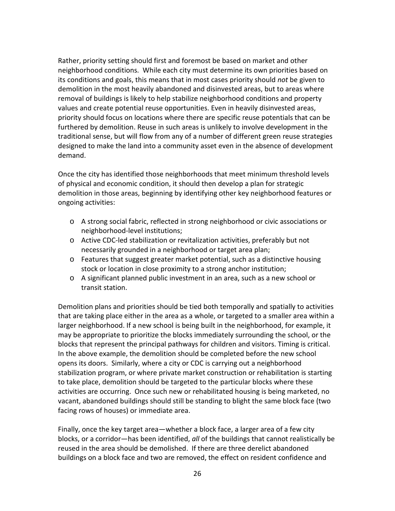Rather, priority setting should first and foremost be based on market and other neighborhood conditions. While each city must determine its own priorities based on its conditions and goals, this means that in most cases priority should *not* be given to demolition in the most heavily abandoned and disinvested areas, but to areas where removal of buildings is likely to help stabilize neighborhood conditions and property values and create potential reuse opportunities. Even in heavily disinvested areas, priority should focus on locations where there are specific reuse potentials that can be furthered by demolition. Reuse in such areas is unlikely to involve development in the traditional sense, but will flow from any of a number of different green reuse strategies designed to make the land into a community asset even in the absence of development demand.

Once the city has identified those neighborhoods that meet minimum threshold levels of physical and economic condition, it should then develop a plan for strategic demolition in those areas, beginning by identifying other key neighborhood features or ongoing activities:

- o A strong social fabric, reflected in strong neighborhood or civic associations or neighborhood-level institutions;
- o Active CDC-led stabilization or revitalization activities, preferably but not necessarily grounded in a neighborhood or target area plan;
- o Features that suggest greater market potential, such as a distinctive housing stock or location in close proximity to a strong anchor institution;
- o A significant planned public investment in an area, such as a new school or transit station.

Demolition plans and priorities should be tied both temporally and spatially to activities that are taking place either in the area as a whole, or targeted to a smaller area within a larger neighborhood. If a new school is being built in the neighborhood, for example, it may be appropriate to prioritize the blocks immediately surrounding the school, or the blocks that represent the principal pathways for children and visitors. Timing is critical. In the above example, the demolition should be completed before the new school opens its doors. Similarly, where a city or CDC is carrying out a neighborhood stabilization program, or where private market construction or rehabilitation is starting to take place, demolition should be targeted to the particular blocks where these activities are occurring. Once such new or rehabilitated housing is being marketed, no vacant, abandoned buildings should still be standing to blight the same block face (two facing rows of houses) or immediate area.

Finally, once the key target area—whether a block face, a larger area of a few city blocks, or a corridor—has been identified, *all* of the buildings that cannot realistically be reused in the area should be demolished. If there are three derelict abandoned buildings on a block face and two are removed, the effect on resident confidence and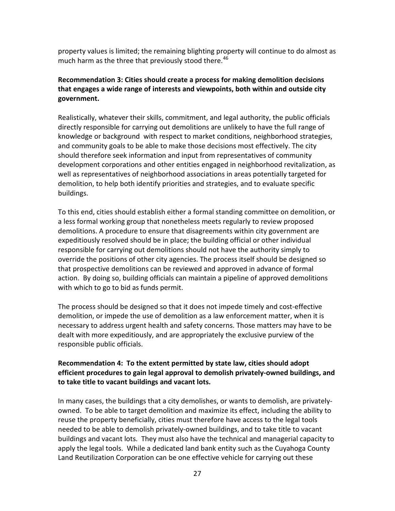property values is limited; the remaining blighting property will continue to do almost as much harm as the three that previously stood there.<sup>[46](#page-46-20)</sup>

#### **Recommendation 3: Cities should create a process for making demolition decisions that engages a wide range of interests and viewpoints, both within and outside city government.**

Realistically, whatever their skills, commitment, and legal authority, the public officials directly responsible for carrying out demolitions are unlikely to have the full range of knowledge or background with respect to market conditions, neighborhood strategies, and community goals to be able to make those decisions most effectively. The city should therefore seek information and input from representatives of community development corporations and other entities engaged in neighborhood revitalization, as well as representatives of neighborhood associations in areas potentially targeted for demolition, to help both identify priorities and strategies, and to evaluate specific buildings.

To this end, cities should establish either a formal standing committee on demolition, or a less formal working group that nonetheless meets regularly to review proposed demolitions. A procedure to ensure that disagreements within city government are expeditiously resolved should be in place; the building official or other individual responsible for carrying out demolitions should not have the authority simply to override the positions of other city agencies. The process itself should be designed so that prospective demolitions can be reviewed and approved in advance of formal action. By doing so, building officials can maintain a pipeline of approved demolitions with which to go to bid as funds permit.

The process should be designed so that it does not impede timely and cost-effective demolition, or impede the use of demolition as a law enforcement matter, when it is necessary to address urgent health and safety concerns. Those matters may have to be dealt with more expeditiously, and are appropriately the exclusive purview of the responsible public officials.

#### **Recommendation 4: To the extent permitted by state law, cities should adopt efficient procedures to gain legal approval to demolish privately-owned buildings, and to take title to vacant buildings and vacant lots.**

In many cases, the buildings that a city demolishes, or wants to demolish, are privatelyowned. To be able to target demolition and maximize its effect, including the ability to reuse the property beneficially, cities must therefore have access to the legal tools needed to be able to demolish privately-owned buildings, and to take title to vacant buildings and vacant lots. They must also have the technical and managerial capacity to apply the legal tools. While a dedicated land bank entity such as the Cuyahoga County Land Reutilization Corporation can be one effective vehicle for carrying out these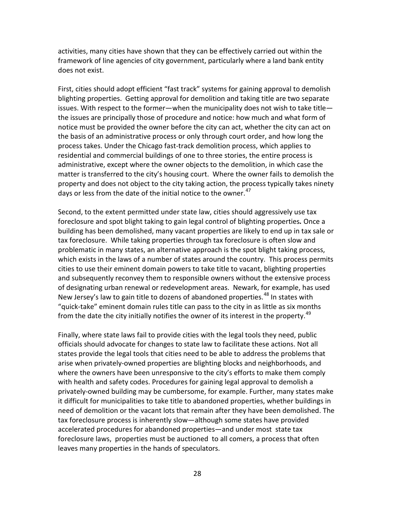activities, many cities have shown that they can be effectively carried out within the framework of line agencies of city government, particularly where a land bank entity does not exist.

First, cities should adopt efficient "fast track" systems for gaining approval to demolish blighting properties. Getting approval for demolition and taking title are two separate issues. With respect to the former—when the municipality does not wish to take title the issues are principally those of procedure and notice: how much and what form of notice must be provided the owner before the city can act, whether the city can act on the basis of an administrative process or only through court order, and how long the process takes. Under the Chicago fast-track demolition process, which applies to residential and commercial buildings of one to three stories, the entire process is administrative, except where the owner objects to the demolition, in which case the matter is transferred to the city's housing court. Where the owner fails to demolish the property and does not object to the city taking action, the process typically takes ninety days or less from the date of the initial notice to the owner. $47$ 

Second, to the extent permitted under state law, cities should aggressively use tax foreclosure and spot blight taking to gain legal control of blighting properties*.* Once a building has been demolished, many vacant properties are likely to end up in tax sale or tax foreclosure. While taking properties through tax foreclosure is often slow and problematic in many states, an alternative approach is the spot blight taking process, which exists in the laws of a number of states around the country. This process permits cities to use their eminent domain powers to take title to vacant, blighting properties and subsequently reconvey them to responsible owners without the extensive process of designating urban renewal or redevelopment areas. Newark, for example, has used New Jersey's law to gain title to dozens of abandoned properties.<sup>[48](#page-46-22)</sup> In states with "quick-take" eminent domain rules title can pass to the city in as little as six months from the date the city initially notifies the owner of its interest in the property.<sup>[49](#page-46-23)</sup>

Finally, where state laws fail to provide cities with the legal tools they need, public officials should advocate for changes to state law to facilitate these actions. Not all states provide the legal tools that cities need to be able to address the problems that arise when privately-owned properties are blighting blocks and neighborhoods, and where the owners have been unresponsive to the city's efforts to make them comply with health and safety codes. Procedures for gaining legal approval to demolish a privately-owned building may be cumbersome, for example. Further, many states make it difficult for municipalities to take title to abandoned properties, whether buildings in need of demolition or the vacant lots that remain after they have been demolished. The tax foreclosure process is inherently slow—although some states have provided accelerated procedures for abandoned properties—and under most state tax foreclosure laws, properties must be auctioned to all comers, a process that often leaves many properties in the hands of speculators.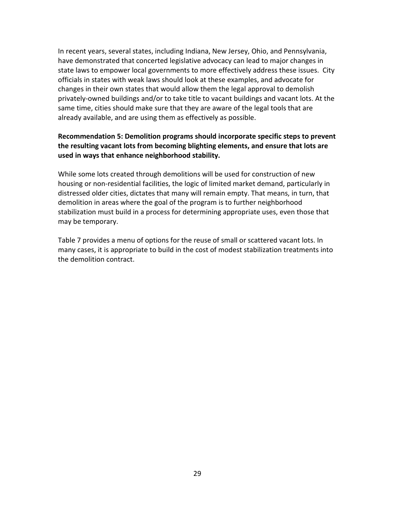In recent years, several states, including Indiana, New Jersey, Ohio, and Pennsylvania, have demonstrated that concerted legislative advocacy can lead to major changes in state laws to empower local governments to more effectively address these issues. City officials in states with weak laws should look at these examples, and advocate for changes in their own states that would allow them the legal approval to demolish privately-owned buildings and/or to take title to vacant buildings and vacant lots. At the same time, cities should make sure that they are aware of the legal tools that are already available, and are using them as effectively as possible.

#### **Recommendation 5: Demolition programs should incorporate specific steps to prevent the resulting vacant lots from becoming blighting elements, and ensure that lots are used in ways that enhance neighborhood stability.**

While some lots created through demolitions will be used for construction of new housing or non-residential facilities, the logic of limited market demand, particularly in distressed older cities, dictates that many will remain empty. That means, in turn, that demolition in areas where the goal of the program is to further neighborhood stabilization must build in a process for determining appropriate uses, even those that may be temporary.

Table 7 provides a menu of options for the reuse of small or scattered vacant lots. In many cases, it is appropriate to build in the cost of modest stabilization treatments into the demolition contract.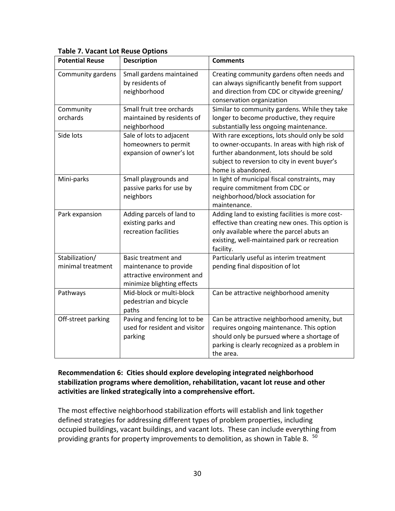| <b>Potential Reuse</b>              | <b>Description</b>                                                                                        | <b>Comments</b>                                                                                                                                                                                                     |
|-------------------------------------|-----------------------------------------------------------------------------------------------------------|---------------------------------------------------------------------------------------------------------------------------------------------------------------------------------------------------------------------|
| Community gardens                   | Small gardens maintained<br>by residents of<br>neighborhood                                               | Creating community gardens often needs and<br>can always significantly benefit from support<br>and direction from CDC or citywide greening/<br>conservation organization                                            |
| Community<br>orchards               | Small fruit tree orchards<br>maintained by residents of<br>neighborhood                                   | Similar to community gardens. While they take<br>longer to become productive, they require<br>substantially less ongoing maintenance.                                                                               |
| Side lots                           | Sale of lots to adjacent<br>homeowners to permit<br>expansion of owner's lot                              | With rare exceptions, lots should only be sold<br>to owner-occupants. In areas with high risk of<br>further abandonment, lots should be sold<br>subject to reversion to city in event buyer's<br>home is abandoned. |
| Mini-parks                          | Small playgrounds and<br>passive parks for use by<br>neighbors                                            | In light of municipal fiscal constraints, may<br>require commitment from CDC or<br>neighborhood/block association for<br>maintenance.                                                                               |
| Park expansion                      | Adding parcels of land to<br>existing parks and<br>recreation facilities                                  | Adding land to existing facilities is more cost-<br>effective than creating new ones. This option is<br>only available where the parcel abuts an<br>existing, well-maintained park or recreation<br>facility.       |
| Stabilization/<br>minimal treatment | Basic treatment and<br>maintenance to provide<br>attractive environment and<br>minimize blighting effects | Particularly useful as interim treatment<br>pending final disposition of lot                                                                                                                                        |
| Pathways                            | Mid-block or multi-block<br>pedestrian and bicycle<br>paths                                               | Can be attractive neighborhood amenity                                                                                                                                                                              |
| Off-street parking                  | Paving and fencing lot to be<br>used for resident and visitor<br>parking                                  | Can be attractive neighborhood amenity, but<br>requires ongoing maintenance. This option<br>should only be pursued where a shortage of<br>parking is clearly recognized as a problem in<br>the area.                |

#### **Table 7. Vacant Lot Reuse Options**

#### **Recommendation 6: Cities should explore developing integrated neighborhood stabilization programs where demolition, rehabilitation, vacant lot reuse and other activities are linked strategically into a comprehensive effort.**

The most effective neighborhood stabilization efforts will establish and link together defined strategies for addressing different types of problem properties, including occupied buildings, vacant buildings, and vacant lots. These can include everything from providing grants for property improvements to demolition, as shown in Table 8.  $^{50}$  $^{50}$  $^{50}$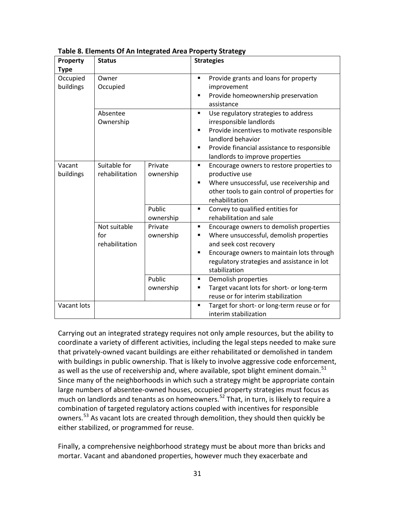| Property              | <b>Status</b>                         |                                | <b>Strategies</b>                                                                                                                                                                                                                                |  |  |
|-----------------------|---------------------------------------|--------------------------------|--------------------------------------------------------------------------------------------------------------------------------------------------------------------------------------------------------------------------------------------------|--|--|
| <b>Type</b>           |                                       |                                |                                                                                                                                                                                                                                                  |  |  |
| Occupied<br>buildings | Owner<br>Occupied                     |                                | Provide grants and loans for property<br>п<br>improvement<br>Provide homeownership preservation<br>п<br>assistance                                                                                                                               |  |  |
|                       | Absentee<br>Ownership                 |                                | Use regulatory strategies to address<br>٠<br>irresponsible landlords<br>Provide incentives to motivate responsible<br>$\blacksquare$<br>landlord behavior<br>Provide financial assistance to responsible<br>٠<br>landlords to improve properties |  |  |
| Vacant<br>buildings   | Suitable for<br>rehabilitation        | Private<br>ownership           | Encourage owners to restore properties to<br>٠<br>productive use<br>Where unsuccessful, use receivership and<br>п<br>other tools to gain control of properties for<br>rehabilitation                                                             |  |  |
|                       |                                       | Public<br>ownership            | Convey to qualified entities for<br>٠<br>rehabilitation and sale                                                                                                                                                                                 |  |  |
|                       | Not suitable<br>for<br>rehabilitation | Private<br>ownership<br>Public | Encourage owners to demolish properties<br>٠<br>Where unsuccessful, demolish properties<br>п<br>and seek cost recovery<br>Encourage owners to maintain lots through<br>п<br>regulatory strategies and assistance in lot<br>stabilization<br>٠    |  |  |
|                       |                                       | ownership                      | Demolish properties<br>Target vacant lots for short- or long-term<br>п<br>reuse or for interim stabilization                                                                                                                                     |  |  |
| Vacant lots           |                                       |                                | Target for short- or long-term reuse or for<br>interim stabilization                                                                                                                                                                             |  |  |

**Table 8. Elements Of An Integrated Area Property Strategy**

Carrying out an integrated strategy requires not only ample resources, but the ability to coordinate a variety of different activities, including the legal steps needed to make sure that privately-owned vacant buildings are either rehabilitated or demolished in tandem with buildings in public ownership. That is likely to involve aggressive code enforcement, as well as the use of receivership and, where available, spot blight eminent domain.<sup>[51](#page-46-25)</sup> Since many of the neighborhoods in which such a strategy might be appropriate contain large numbers of absentee-owned houses, occupied property strategies must focus as much on landlords and tenants as on homeowners.<sup>[52](#page-46-17)</sup> That, in turn, is likely to require a combination of targeted regulatory actions coupled with incentives for responsible owners.<sup>[53](#page-46-26)</sup> As vacant lots are created through demolition, they should then quickly be either stabilized, or programmed for reuse.

Finally, a comprehensive neighborhood strategy must be about more than bricks and mortar. Vacant and abandoned properties, however much they exacerbate and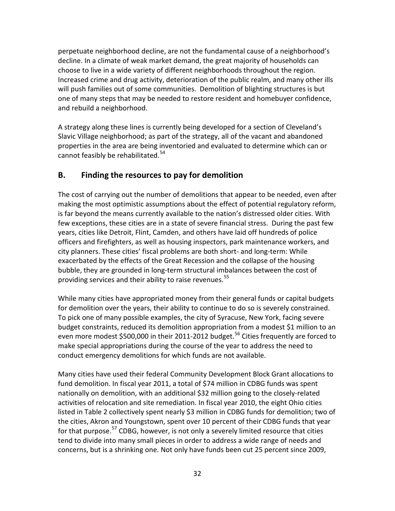perpetuate neighborhood decline, are not the fundamental cause of a neighborhood's decline. In a climate of weak market demand, the great majority of households can choose to live in a wide variety of different neighborhoods throughout the region. Increased crime and drug activity, deterioration of the public realm, and many other ills will push families out of some communities. Demolition of blighting structures is but one of many steps that may be needed to restore resident and homebuyer confidence, and rebuild a neighborhood.

A strategy along these lines is currently being developed for a section of Cleveland's Slavic Village neighborhood; as part of the strategy, all of the vacant and abandoned properties in the area are being inventoried and evaluated to determine which can or cannot feasibly be rehabilitated.<sup>[54](#page-46-27)</sup>

## **B. Finding the resources to pay for demolition**

The cost of carrying out the number of demolitions that appear to be needed, even after making the most optimistic assumptions about the effect of potential regulatory reform, is far beyond the means currently available to the nation's distressed older cities. With few exceptions, these cities are in a state of severe financial stress. During the past few years, cities like Detroit, Flint, Camden, and others have laid off hundreds of police officers and firefighters, as well as housing inspectors, park maintenance workers, and city planners. These cities' fiscal problems are both short- and long-term: While exacerbated by the effects of the Great Recession and the collapse of the housing bubble, they are grounded in long-term structural imbalances between the cost of providing services and their ability to raise revenues.<sup>[55](#page-46-28)</sup>

While many cities have appropriated money from their general funds or capital budgets for demolition over the years, their ability to continue to do so is severely constrained. To pick one of many possible examples, the city of Syracuse, New York, facing severe budget constraints, reduced its demolition appropriation from a modest \$1 million to an even more modest \$500,000 in their 2011-2012 budget.<sup>[56](#page-46-9)</sup> Cities frequently are forced to make special appropriations during the course of the year to address the need to conduct emergency demolitions for which funds are not available.

Many cities have used their federal Community Development Block Grant allocations to fund demolition. In fiscal year 2011, a total of \$74 million in CDBG funds was spent nationally on demolition, with an additional \$32 million going to the closely-related activities of relocation and site remediation. In fiscal year 2010, the eight Ohio cities listed in Table 2 collectively spent nearly \$3 million in CDBG funds for demolition; two of the cities, Akron and Youngstown, spent over 10 percent of their CDBG funds that year for that purpose.<sup>[57](#page-46-22)</sup> CDBG, however, is not only a severely limited resource that cities tend to divide into many small pieces in order to address a wide range of needs and concerns, but is a shrinking one. Not only have funds been cut 25 percent since 2009,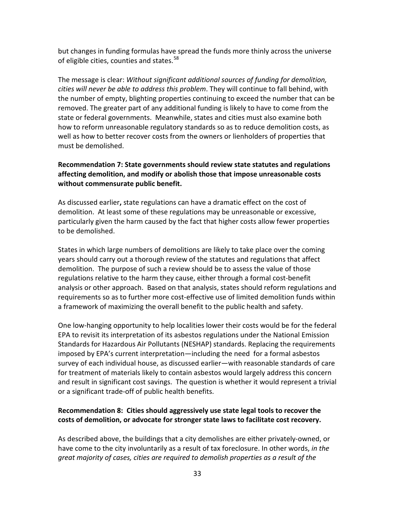but changes in funding formulas have spread the funds more thinly across the universe of eligible cities, counties and states.<sup>[58](#page-46-29)</sup>

The message is clear: *Without significant additional sources of funding for demolition, cities will never be able to address this problem*. They will continue to fall behind, with the number of empty, blighting properties continuing to exceed the number that can be removed. The greater part of any additional funding is likely to have to come from the state or federal governments. Meanwhile, states and cities must also examine both how to reform unreasonable regulatory standards so as to reduce demolition costs, as well as how to better recover costs from the owners or lienholders of properties that must be demolished.

#### **Recommendation 7: State governments should review state statutes and regulations affecting demolition, and modify or abolish those that impose unreasonable costs without commensurate public benefit.**

As discussed earlier**,** state regulations can have a dramatic effect on the cost of demolition. At least some of these regulations may be unreasonable or excessive, particularly given the harm caused by the fact that higher costs allow fewer properties to be demolished.

States in which large numbers of demolitions are likely to take place over the coming years should carry out a thorough review of the statutes and regulations that affect demolition. The purpose of such a review should be to assess the value of those regulations relative to the harm they cause, either through a formal cost-benefit analysis or other approach. Based on that analysis, states should reform regulations and requirements so as to further more cost-effective use of limited demolition funds within a framework of maximizing the overall benefit to the public health and safety.

One low-hanging opportunity to help localities lower their costs would be for the federal EPA to revisit its interpretation of its asbestos regulations under the National Emission Standards for Hazardous Air Pollutants (NESHAP) standards. Replacing the requirements imposed by EPA's current interpretation—including the need for a formal asbestos survey of each individual house, as discussed earlier—with reasonable standards of care for treatment of materials likely to contain asbestos would largely address this concern and result in significant cost savings. The question is whether it would represent a trivial or a significant trade-off of public health benefits.

#### **Recommendation 8: Cities should aggressively use state legal tools to recover the costs of demolition, or advocate for stronger state laws to facilitate cost recovery.**

As described above, the buildings that a city demolishes are either privately-owned, or have come to the city involuntarily as a result of tax foreclosure. In other words, *in the great majority of cases, cities are required to demolish properties as a result of the*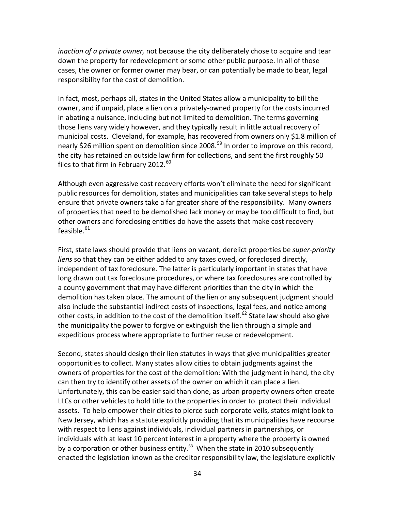*inaction of a private owner,* not because the city deliberately chose to acquire and tear down the property for redevelopment or some other public purpose. In all of those cases, the owner or former owner may bear, or can potentially be made to bear, legal responsibility for the cost of demolition.

In fact, most, perhaps all, states in the United States allow a municipality to bill the owner, and if unpaid, place a lien on a privately-owned property for the costs incurred in abating a nuisance, including but not limited to demolition. The terms governing those liens vary widely however, and they typically result in little actual recovery of municipal costs. Cleveland, for example, has recovered from owners only \$1.8 million of nearly \$26 million spent on demolition since 2008.<sup>[59](#page-46-30)</sup> In order to improve on this record, the city has retained an outside law firm for collections, and sent the first roughly 50 files to that firm in February 2012. $^{60}$  $^{60}$  $^{60}$ 

Although even aggressive cost recovery efforts won't eliminate the need for significant public resources for demolition, states and municipalities can take several steps to help ensure that private owners take a far greater share of the responsibility. Many owners of properties that need to be demolished lack money or may be too difficult to find, but other owners and foreclosing entities do have the assets that make cost recovery feasible. $^{61}$  $^{61}$  $^{61}$ 

First, state laws should provide that liens on vacant, derelict properties be *super-priority liens* so that they can be either added to any taxes owed, or foreclosed directly, independent of tax foreclosure. The latter is particularly important in states that have long drawn out tax foreclosure procedures, or where tax foreclosures are controlled by a county government that may have different priorities than the city in which the demolition has taken place. The amount of the lien or any subsequent judgment should also include the substantial indirect costs of inspections, legal fees, and notice among other costs, in addition to the cost of the demolition itself.<sup>[62](#page-46-33)</sup> State law should also give the municipality the power to forgive or extinguish the lien through a simple and expeditious process where appropriate to further reuse or redevelopment.

Second, states should design their lien statutes in ways that give municipalities greater opportunities to collect. Many states allow cities to obtain judgments against the owners of properties for the cost of the demolition: With the judgment in hand, the city can then try to identify other assets of the owner on which it can place a lien. Unfortunately, this can be easier said than done, as urban property owners often create LLCs or other vehicles to hold title to the properties in order to protect their individual assets. To help empower their cities to pierce such corporate veils, states might look to New Jersey, which has a statute explicitly providing that its municipalities have recourse with respect to liens against individuals, individual partners in partnerships, or individuals with at least 10 percent interest in a property where the property is owned by a corporation or other business entity.<sup>[63](#page-46-34)</sup> When the state in 2010 subsequently enacted the legislation known as the creditor responsibility law, the legislature explicitly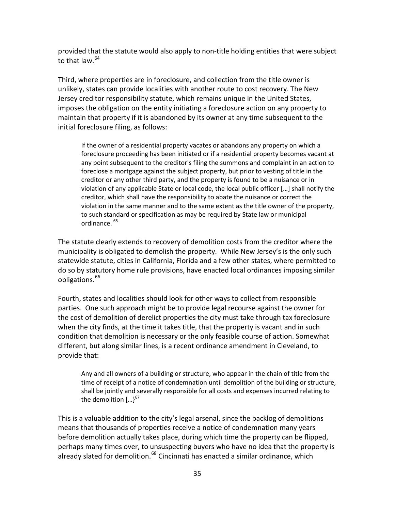provided that the statute would also apply to non-title holding entities that were subject to that law.  $64$ 

Third, where properties are in foreclosure, and collection from the title owner is unlikely, states can provide localities with another route to cost recovery. The New Jersey creditor responsibility statute, which remains unique in the United States, imposes the obligation on the entity initiating a foreclosure action on any property to maintain that property if it is abandoned by its owner at any time subsequent to the initial foreclosure filing, as follows:

If the owner of a residential property vacates or abandons any property on which a foreclosure proceeding has been initiated or if a residential property becomes vacant at any point subsequent to the creditor's filing the summons and complaint in an action to foreclose a mortgage against the subject property, but prior to vesting of title in the creditor or any other third party, and the property is found to be a nuisance or in violation of any applicable State or local code, the local public officer […] shall notify the creditor, which shall have the responsibility to abate the nuisance or correct the violation in the same manner and to the same extent as the title owner of the property, to such standard or specification as may be required by State law or municipal ordinance.<sup>[65](#page-46-36)</sup>

The statute clearly extends to recovery of demolition costs from the creditor where the municipality is obligated to demolish the property. While New Jersey's is the only such statewide statute, cities in California, Florida and a few other states, where permitted to do so by statutory home rule provisions, have enacted local ordinances imposing similar obligations.<sup>[66](#page-46-5)</sup>

Fourth, states and localities should look for other ways to collect from responsible parties. One such approach might be to provide legal recourse against the owner for the cost of demolition of derelict properties the city must take through tax foreclosure when the city finds, at the time it takes title, that the property is vacant and in such condition that demolition is necessary or the only feasible course of action. Somewhat different, but along similar lines, is a recent ordinance amendment in Cleveland, to provide that:

Any and all owners of a building or structure, who appear in the chain of title from the time of receipt of a notice of condemnation until demolition of the building or structure, shall be jointly and severally responsible for all costs and expenses incurred relating to the demolition  $\left[...\right]^{67}$  $\left[...\right]^{67}$  $\left[...\right]^{67}$ 

This is a valuable addition to the city's legal arsenal, since the backlog of demolitions means that thousands of properties receive a notice of condemnation many years before demolition actually takes place, during which time the property can be flipped, perhaps many times over, to unsuspecting buyers who have no idea that the property is already slated for demolition.<sup>[68](#page-46-37)</sup> Cincinnati has enacted a similar ordinance, which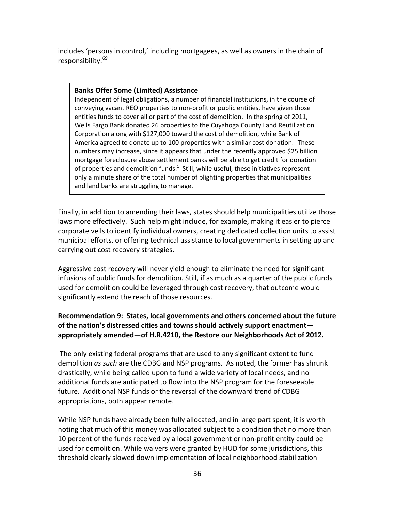includes 'persons in control,' including mortgagees, as well as owners in the chain of responsibility.<sup>[69](#page-46-38)</sup>

#### **Banks Offer Some (Limited) Assistance**

Independent of legal obligations, a number of financial institutions, in the course of conveying vacant REO properties to non-profit or public entities, have given those entities funds to cover all or part of the cost of demolition. In the spring of 2011, Wells Fargo Bank donated 26 properties to the Cuyahoga County Land Reutilization Corporation along with \$127,000 toward the cost of demolition, while Bank of America agreed to donate up to 100 properties with a similar cost donation.<sup>1</sup> These numbers may increase, since it appears that under the recently approved \$25 billion mortgage foreclosure abuse settlement banks will be able to get credit for donation of properties and demolition funds. $^1$  Still, while useful, these initiatives represent only a minute share of the total number of blighting properties that municipalities and land banks are struggling to manage.

Finally, in addition to amending their laws, states should help municipalities utilize those laws more effectively. Such help might include, for example, making it easier to pierce corporate veils to identify individual owners, creating dedicated collection units to assist municipal efforts, or offering technical assistance to local governments in setting up and carrying out cost recovery strategies.

Aggressive cost recovery will never yield enough to eliminate the need for significant infusions of public funds for demolition. Still, if as much as a quarter of the public funds used for demolition could be leveraged through cost recovery, that outcome would significantly extend the reach of those resources.

#### **Recommendation 9: States, local governments and others concerned about the future of the nation's distressed cities and towns should actively support enactment appropriately amended—of H.R.4210, the Restore our Neighborhoods Act of 2012.**

The only existing federal programs that are used to any significant extent to fund demolition *as such* are the CDBG and NSP programs. As noted, the former has shrunk drastically, while being called upon to fund a wide variety of local needs, and no additional funds are anticipated to flow into the NSP program for the foreseeable future. Additional NSP funds or the reversal of the downward trend of CDBG appropriations, both appear remote.

While NSP funds have already been fully allocated, and in large part spent, it is worth noting that much of this money was allocated subject to a condition that no more than 10 percent of the funds received by a local government or non-profit entity could be used for demolition. While waivers were granted by HUD for some jurisdictions, this threshold clearly slowed down implementation of local neighborhood stabilization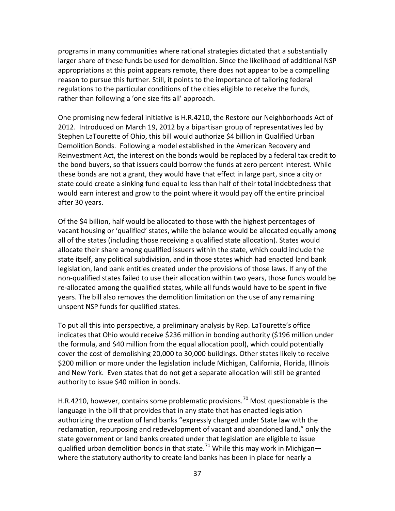programs in many communities where rational strategies dictated that a substantially larger share of these funds be used for demolition. Since the likelihood of additional NSP appropriations at this point appears remote, there does not appear to be a compelling reason to pursue this further. Still, it points to the importance of tailoring federal regulations to the particular conditions of the cities eligible to receive the funds, rather than following a 'one size fits all' approach.

One promising new federal initiative is H.R.4210, the Restore our Neighborhoods Act of 2012. Introduced on March 19, 2012 by a bipartisan group of representatives led by Stephen LaTourette of Ohio, this bill would authorize \$4 billion in Qualified Urban Demolition Bonds. Following a model established in the American Recovery and Reinvestment Act, the interest on the bonds would be replaced by a federal tax credit to the bond buyers, so that issuers could borrow the funds at zero percent interest. While these bonds are not a grant, they would have that effect in large part, since a city or state could create a sinking fund equal to less than half of their total indebtedness that would earn interest and grow to the point where it would pay off the entire principal after 30 years.

Of the \$4 billion, half would be allocated to those with the highest percentages of vacant housing or 'qualified' states, while the balance would be allocated equally among all of the states (including those receiving a qualified state allocation). States would allocate their share among qualified issuers within the state, which could include the state itself, any political subdivision, and in those states which had enacted land bank legislation, land bank entities created under the provisions of those laws. If any of the non-qualified states failed to use their allocation within two years, those funds would be re-allocated among the qualified states, while all funds would have to be spent in five years. The bill also removes the demolition limitation on the use of any remaining unspent NSP funds for qualified states.

To put all this into perspective, a preliminary analysis by Rep. LaTourette's office indicates that Ohio would receive \$236 million in bonding authority (\$196 million under the formula, and \$40 million from the equal allocation pool), which could potentially cover the cost of demolishing 20,000 to 30,000 buildings. Other states likely to receive \$200 million or more under the legislation include Michigan, California, Florida, Illinois and New York. Even states that do not get a separate allocation will still be granted authority to issue \$40 million in bonds.

H.R.4210, however, contains some problematic provisions.<sup>[70](#page-46-39)</sup> Most questionable is the language in the bill that provides that in any state that has enacted legislation authorizing the creation of land banks "expressly charged under State law with the reclamation, repurposing and redevelopment of vacant and abandoned land," only the state government or land banks created under that legislation are eligible to issue qualified urban demolition bonds in that state.<sup>[71](#page-46-28)</sup> While this may work in Michiganwhere the statutory authority to create land banks has been in place for nearly a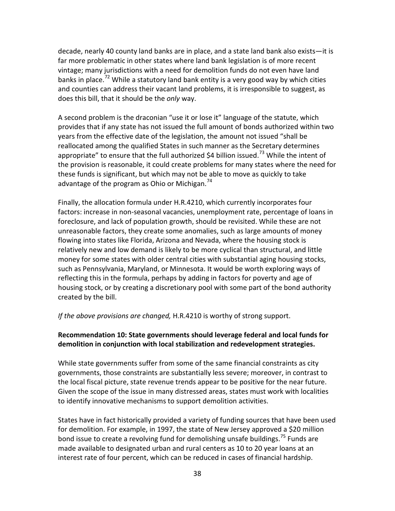decade, nearly 40 county land banks are in place, and a state land bank also exists—it is far more problematic in other states where land bank legislation is of more recent vintage; many jurisdictions with a need for demolition funds do not even have land banks in place.<sup>[72](#page-46-40)</sup> While a statutory land bank entity is a very good way by which cities and counties can address their vacant land problems, it is irresponsible to suggest, as does this bill, that it should be the *only* way.

A second problem is the draconian "use it or lose it" language of the statute, which provides that if any state has not issued the full amount of bonds authorized within two years from the effective date of the legislation, the amount not issued "shall be reallocated among the qualified States in such manner as the Secretary determines appropriate" to ensure that the full authorized \$4 billion issued.<sup>[73](#page-46-29)</sup> While the intent of the provision is reasonable, it could create problems for many states where the need for these funds is significant, but which may not be able to move as quickly to take advantage of the program as Ohio or Michigan.<sup>[74](#page-46-41)</sup>

Finally, the allocation formula under H.R.4210, which currently incorporates four factors: increase in non-seasonal vacancies, unemployment rate, percentage of loans in foreclosure, and lack of population growth, should be revisited. While these are not unreasonable factors, they create some anomalies, such as large amounts of money flowing into states like Florida, Arizona and Nevada, where the housing stock is relatively new and low demand is likely to be more cyclical than structural, and little money for some states with older central cities with substantial aging housing stocks, such as Pennsylvania, Maryland, or Minnesota. It would be worth exploring ways of reflecting this in the formula, perhaps by adding in factors for poverty and age of housing stock, or by creating a discretionary pool with some part of the bond authority created by the bill.

*If the above provisions are changed,* H.R.4210 is worthy of strong support.

#### **Recommendation 10: State governments should leverage federal and local funds for demolition in conjunction with local stabilization and redevelopment strategies.**

While state governments suffer from some of the same financial constraints as city governments, those constraints are substantially less severe; moreover, in contrast to the local fiscal picture, state revenue trends appear to be positive for the near future. Given the scope of the issue in many distressed areas, states must work with localities to identify innovative mechanisms to support demolition activities.

States have in fact historically provided a variety of funding sources that have been used for demolition. For example, in 1997, the state of New Jersey approved a \$20 million bond issue to create a revolving fund for demolishing unsafe buildings.<sup>[75](#page-46-42)</sup> Funds are made available to designated urban and rural centers as 10 to 20 year loans at an interest rate of four percent, which can be reduced in cases of financial hardship.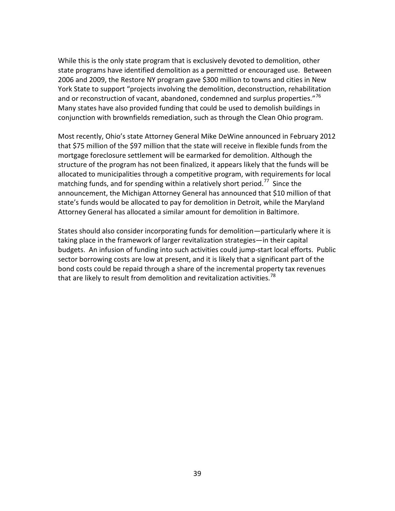While this is the only state program that is exclusively devoted to demolition, other state programs have identified demolition as a permitted or encouraged use. Between 2006 and 2009, the Restore NY program gave \$300 million to towns and cities in New York State to support "projects involving the demolition, deconstruction, rehabilitation and or reconstruction of vacant, abandoned, condemned and surplus properties."<sup>[76](#page-46-23)</sup> Many states have also provided funding that could be used to demolish buildings in conjunction with brownfields remediation, such as through the Clean Ohio program.

Most recently, Ohio's state Attorney General Mike DeWine announced in February 2012 that \$75 million of the \$97 million that the state will receive in flexible funds from the mortgage foreclosure settlement will be earmarked for demolition. Although the structure of the program has not been finalized, it appears likely that the funds will be allocated to municipalities through a competitive program, with requirements for local matching funds, and for spending within a relatively short period.<sup>[77](#page-46-43)</sup> Since the announcement, the Michigan Attorney General has announced that \$10 million of that state's funds would be allocated to pay for demolition in Detroit, while the Maryland Attorney General has allocated a similar amount for demolition in Baltimore.

States should also consider incorporating funds for demolition—particularly where it is taking place in the framework of larger revitalization strategies—in their capital budgets. An infusion of funding into such activities could jump-start local efforts. Public sector borrowing costs are low at present, and it is likely that a significant part of the bond costs could be repaid through a share of the incremental property tax revenues that are likely to result from demolition and revitalization activities.<sup>[78](#page-46-44)</sup>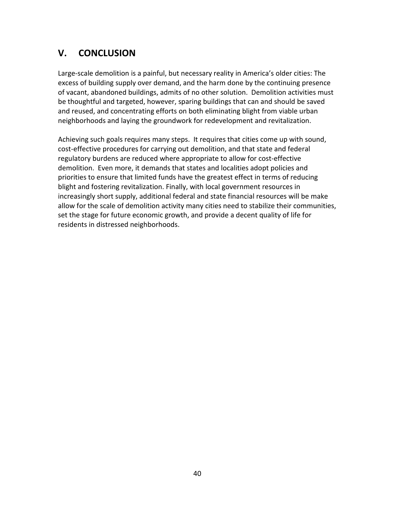## **V. CONCLUSION**

Large-scale demolition is a painful, but necessary reality in America's older cities: The excess of building supply over demand, and the harm done by the continuing presence of vacant, abandoned buildings, admits of no other solution. Demolition activities must be thoughtful and targeted, however, sparing buildings that can and should be saved and reused, and concentrating efforts on both eliminating blight from viable urban neighborhoods and laying the groundwork for redevelopment and revitalization.

Achieving such goals requires many steps. It requires that cities come up with sound, cost-effective procedures for carrying out demolition, and that state and federal regulatory burdens are reduced where appropriate to allow for cost-effective demolition. Even more, it demands that states and localities adopt policies and priorities to ensure that limited funds have the greatest effect in terms of reducing blight and fostering revitalization. Finally, with local government resources in increasingly short supply, additional federal and state financial resources will be make allow for the scale of demolition activity many cities need to stabilize their communities, set the stage for future economic growth, and provide a decent quality of life for residents in distressed neighborhoods.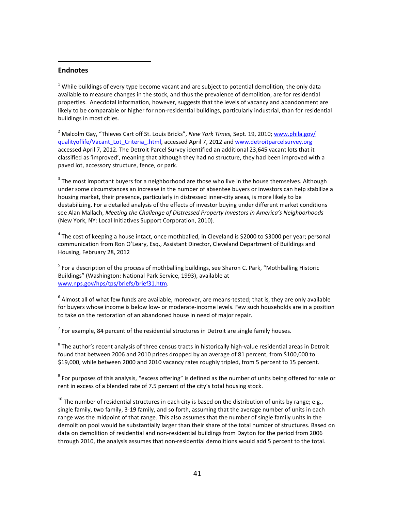#### <span id="page-40-0"></span>**Endnotes**

l

 $1$  While buildings of every type become vacant and are subject to potential demolition, the only data available to measure changes in the stock, and thus the prevalence of demolition, are for residential properties. Anecdotal information, however, suggests that the levels of vacancy and abandonment are likely to be comparable or higher for non-residential buildings, particularly industrial, than for residential buildings in most cities.

<sup>2</sup> Malcolm Gay, "Thieves Cart off St. Louis Bricks", *New York Times,* Sept. 19, 2010; [www.phila.gov/](http://www.phila.gov/%20qualityoflife/Vacant_Lot_Criteria_.html)  [qualityoflife/Vacant\\_Lot\\_Criteria\\_.html,](http://www.phila.gov/%20qualityoflife/Vacant_Lot_Criteria_.html) accessed April 7, 2012 an[d www.detroitparcelsurvey.org](http://www.detroitparcelsurvey.org/) accessed April 7, 2012. The Detroit Parcel Survey identified an additional 23,645 vacant lots that it classified as 'improved', meaning that although they had no structure, they had been improved with a paved lot, accessory structure, fence, or park.

 $3$  The most important buyers for a neighborhood are those who live in the house themselves. Although under some circumstances an increase in the number of absentee buyers or investors can help stabilize a housing market, their presence, particularly in distressed inner-city areas, is more likely to be destabilizing. For a detailed analysis of the effects of investor buying under different market conditions see Alan Mallach, *Meeting the Challenge of Distressed Property Investors in America's Neighborhoods* (New York, NY: Local Initiatives Support Corporation, 2010).

 $^4$  The cost of keeping a house intact, once mothballed, in Cleveland is \$2000 to \$3000 per year; personal communication from Ron O'Leary, Esq., Assistant Director, Cleveland Department of Buildings and Housing, February 28, 2012

<sup>5</sup> For a description of the process of mothballing buildings, see Sharon C. Park, "Mothballing Historic Buildings" (Washington: National Park Service, 1993), available at [www.nps.gov/hps/tps/briefs/brief31.htm.](http://www.nps.gov/hps/tps/briefs/brief31.htm)

 $6$  Almost all of what few funds are available, moreover, are means-tested; that is, they are only available for buyers whose income is below low- or moderate-income levels. Few such households are in a position to take on the restoration of an abandoned house in need of major repair.

 $<sup>7</sup>$  For example, 84 percent of the residential structures in Detroit are single family houses.</sup>

 $8$  The author's recent analysis of three census tracts in historically high-value residential areas in Detroit found that between 2006 and 2010 prices dropped by an average of 81 percent, from \$100,000 to \$19,000, while between 2000 and 2010 vacancy rates roughly tripled, from 5 percent to 15 percent.

 $9$  For purposes of this analysis, "excess offering" is defined as the number of units being offered for sale or rent in excess of a blended rate of 7.5 percent of the city's total housing stock.

 $10$  The number of residential structures in each city is based on the distribution of units by range; e.g., single family, two family, 3-19 family, and so forth, assuming that the average number of units in each range was the midpoint of that range. This also assumes that the number of single family units in the demolition pool would be substantially larger than their share of the total number of structures. Based on data on demolition of residential and non-residential buildings from Dayton for the period from 2006 through 2010, the analysis assumes that non-residential demolitions would add 5 percent to the total.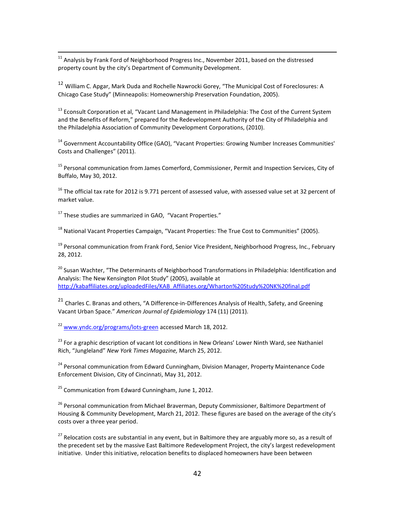$11$  Analysis by Frank Ford of Neighborhood Progress Inc., November 2011, based on the distressed property count by the city's Department of Community Development.

<sup>12</sup> William C. Apgar, Mark Duda and Rochelle Nawrocki Gorey, "The Municipal Cost of Foreclosures: A Chicago Case Study" (Minneapolis: Homeownership Preservation Foundation, 2005).

<sup>13</sup> Econsult Corporation et al, "Vacant Land Management in Philadelphia: The Cost of the Current System and the Benefits of Reform," prepared for the Redevelopment Authority of the City of Philadelphia and the Philadelphia Association of Community Development Corporations, (2010).

<span id="page-41-0"></span><sup>14</sup> Government Accountability Office (GAO), "Vacant Properties: Growing Number Increases Communities' Costs and Challenges" (2011).

<sup>15</sup> Personal communication from James Comerford, Commissioner, Permit and Inspection Services, City of Buffalo, May 30, 2012.

<span id="page-41-1"></span> $16$  The official tax rate for 2012 is 9.771 percent of assessed value, with assessed value set at 32 percent of market value.

<sup>17</sup> These studies are summarized in GAO. "Vacant Properties."

 $18$  National Vacant Properties Campaign, "Vacant Properties: The True Cost to Communities" (2005).

<span id="page-41-2"></span><sup>19</sup> Personal communication from Frank Ford, Senior Vice President, Neighborhood Progress, Inc., February 28, 2012.

<span id="page-41-3"></span><sup>20</sup> Susan Wachter, "The Determinants of Neighborhood Transformations in Philadelphia: Identification and Analysis: The New Kensington Pilot Study" (2005), available at [http://kabaffiliates.org/uploadedFiles/KAB\\_Affiliates.org/Wharton%20Study%20NK%20final.pdf](http://kabaffiliates.org/uploadedFiles/KAB_Affiliates.org/Wharton%20Study%20NK%20final.pdf)

<span id="page-41-4"></span><sup>21</sup> Charles C. Branas and others, "A Difference-in-Differences Analysis of Health, Safety, and Greening Vacant Urban Space." *American Journal of Epidemiology* 174 (11) (2011).

<span id="page-41-5"></span><sup>22</sup> [www.yndc.org/programs/lots-green](http://www.yndc.org/programs/lots-green) accessed March 18, 2012.

<span id="page-41-6"></span><sup>23</sup> For a graphic description of vacant lot conditions in New Orleans' Lower Ninth Ward, see Nathaniel Rich, "Jungleland" *New York Times Magazine,* March 25, 2012.

<sup>24</sup> Personal communication from Edward Cunningham, Division Manager, Property Maintenance Code Enforcement Division, City of Cincinnati, May 31, 2012.

 $25$  Communication from Edward Cunningham, June 1, 2012.

<sup>26</sup> Personal communication from Michael Braverman, Deputy Commissioner, Baltimore Department of Housing & Community Development, March 21, 2012. These figures are based on the average of the city's costs over a three year period.

 $^{27}$  Relocation costs are substantial in any event, but in Baltimore they are arguably more so, as a result of the precedent set by the massive East Baltimore Redevelopment Project, the city's largest redevelopment initiative. Under this initiative, relocation benefits to displaced homeowners have been between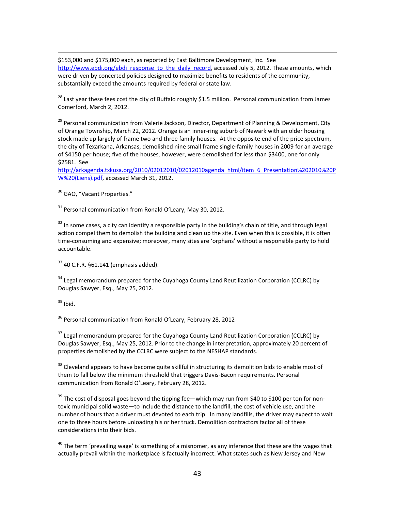\$153,000 and \$175,000 each, as reported by East Baltimore Development, Inc. See [http://www.ebdi.org/ebdi\\_response\\_to\\_the\\_daily\\_record,](http://www.ebdi.org/ebdi_response_to_the_daily_record) accessed July 5, 2012. These amounts, which were driven by concerted policies designed to maximize benefits to residents of the community, substantially exceed the amounts required by federal or state law.

 $^{28}$  Last year these fees cost the city of Buffalo roughly \$1.5 million. Personal communication from James Comerford, March 2, 2012.

<sup>29</sup> Personal communication from Valerie Jackson, Director, Department of Planning & Development, City of Orange Township, March 22, 2012. Orange is an inner-ring suburb of Newark with an older housing stock made up largely of frame two and three family houses. At the opposite end of the price spectrum, the city of Texarkana, Arkansas, demolished nine small frame single-family houses in 2009 for an average of \$4150 per house; five of the houses, however, were demolished for less than \$3400, one for only \$2581. See

[http://arkagenda.txkusa.org/2010/02012010/02012010agenda\\_html/item\\_6\\_Presentation%202010%20P](http://arkagenda.txkusa.org/2010/02012010/02012010agenda_html/item_6_Presentation%202010%20PW%20(Liens).pdf) [W%20\(Liens\).pdf,](http://arkagenda.txkusa.org/2010/02012010/02012010agenda_html/item_6_Presentation%202010%20PW%20(Liens).pdf) accessed March 31, 2012.

<sup>30</sup> GAO. "Vacant Properties."

 $31$  Personal communication from Ronald O'Leary, May 30, 2012.

 $32$  In some cases, a city can identify a responsible party in the building's chain of title, and through legal action compel them to demolish the building and clean up the site. Even when this is possible, it is often time-consuming and expensive; moreover, many sites are 'orphans' without a responsible party to hold accountable.

 $33$  40 C.F.R.  $661.141$  (emphasis added).

 $34$  Legal memorandum prepared for the Cuyahoga County Land Reutilization Corporation (CCLRC) by Douglas Sawyer, Esq., May 25, 2012.

 $35$  Ibid.

<span id="page-42-2"></span>.

<sup>36</sup> Personal communication from Ronald O'Leary, February 28, 2012

 $37$  Legal memorandum prepared for the Cuyahoga County Land Reutilization Corporation (CCLRC) by Douglas Sawyer, Esq., May 25, 2012. Prior to the change in interpretation, approximately 20 percent of properties demolished by the CCLRC were subject to the NESHAP standards.

<span id="page-42-0"></span> $38$  Cleveland appears to have become quite skillful in structuring its demolition bids to enable most of them to fall below the minimum threshold that triggers Davis-Bacon requirements. Personal communication from Ronald O'Leary, February 28, 2012.

<span id="page-42-1"></span><sup>39</sup> The cost of disposal goes beyond the tipping fee—which may run from \$40 to \$100 per ton for nontoxic municipal solid waste—to include the distance to the landfill, the cost of vehicle use, and the number of hours that a driver must devoted to each trip. In many landfills, the driver may expect to wait one to three hours before unloading his or her truck. Demolition contractors factor all of these considerations into their bids.

 $40$  The term 'prevailing wage' is something of a misnomer, as any inference that these are the wages that actually prevail within the marketplace is factually incorrect. What states such as New Jersey and New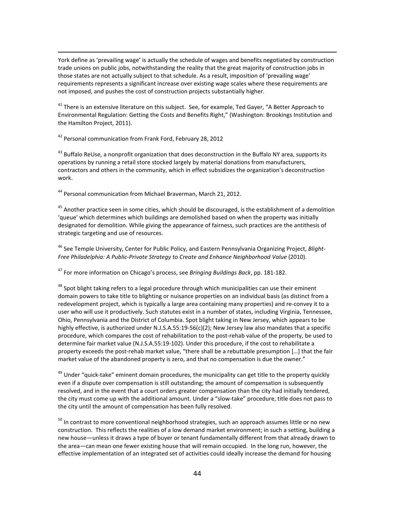York define as 'prevailing wage' is actually the schedule of wages and benefits negotiated by construction trade unions on public jobs, notwithstanding the reality that the great majority of construction jobs in those states are not actually subject to that schedule. As a result, imposition of 'prevailing wage' requirements represents a significant increase over existing wage scales where these requirements are not imposed, and pushes the cost of construction projects substantially higher.

<span id="page-43-1"></span><span id="page-43-0"></span> $^{41}$  There is an extensive literature on this subject. See, for example, Ted Gayer, "A Better Approach to Environmental Regulation: Getting the Costs and Benefits Right," (Washington: Brookings Institution and the Hamilton Project, 2011).

<span id="page-43-2"></span><sup>42</sup> Personal communication from Frank Ford, February 28, 2012

.

<span id="page-43-3"></span><sup>43</sup> Buffalo ReUse, a nonprofit organization that does deconstruction in the Buffalo NY area, supports its operations by running a retail store stocked largely by material donations from manufacturers, contractors and others in the community, which in effect subsidizes the organization's deconstruction work.

<span id="page-43-4"></span><sup>44</sup> Personal communication from Michael Braverman, March 21, 2012.

<span id="page-43-5"></span> $^{45}$  Another practice seen in some cities, which should be discouraged, is the establishment of a demolition 'queue' which determines which buildings are demolished based on when the property was initially designated for demolition. While giving the appearance of fairness, such practices are the antithesis of strategic targeting and use of resources.

<sup>46</sup> See Temple University, Center for Public Policy, and Eastern Pennsylvania Organizing Project, *Blight-Free Philadelphia: A Public-Private Strategy to Create and Enhance Neighborhood Value* (2010).

<sup>47</sup> For more information on Chicago's process, see *Bringing Buildings Back*, pp. 181-182.

<sup>48</sup> Spot blight taking refers to a legal procedure through which municipalities can use their eminent domain powers to take title to blighting or nuisance properties on an individual basis (as distinct from a redevelopment project, which is typically a large area containing many properties) and re-convey it to a user who will use it productively. Such statutes exist in a number of states, including Virginia, Tennessee, Ohio, Pennsylvania and the District of Columbia. Spot blight taking in New Jersey, which appears to be highly effective, is authorized under N.J.S.A.55:19-56(c)(2); New Jersey law also mandates that a specific procedure, which compares the cost of rehabilitation to the post-rehab value of the property, be used to determine fair market value (N.J.S.A.55:19-102). Under this procedure, if the cost to rehabilitate a property exceeds the post-rehab market value, "there shall be a rebuttable presumption […] that the fair market value of the abandoned property is zero, and that no compensation is due the owner."

<sup>49</sup> Under "quick-take" eminent domain procedures, the municipality can get title to the property quickly even if a dispute over compensation is still outstanding; the amount of compensation is subsequently resolved, and in the event that a court orders greater compensation than the city had initially tendered, the city must come up with the additional amount. Under a "slow-take" procedure, title does not pass to the city until the amount of compensation has been fully resolved.

<sup>50</sup> In contrast to more conventional neighborhood strategies, such an approach assumes little or no new construction. This reflects the realities of a low demand market environment; in such a setting, building a new house—unless it draws a type of buyer or tenant fundamentally different from that already drawn to the area—can mean one fewer existing house that will remain occupied. In the long run, however, the effective implementation of an integrated set of activities could ideally increase the demand for housing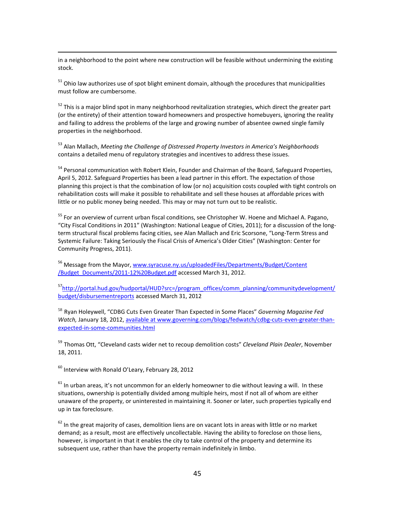in a neighborhood to the point where new construction will be feasible without undermining the existing stock.

 $51$  Ohio law authorizes use of spot blight eminent domain, although the procedures that municipalities must follow are cumbersome.

 $52$  This is a major blind spot in many neighborhood revitalization strategies, which direct the greater part (or the entirety) of their attention toward homeowners and prospective homebuyers, ignoring the reality and failing to address the problems of the large and growing number of absentee owned single family properties in the neighborhood.

<sup>53</sup> Alan Mallach, *Meeting the Challenge of Distressed Property Investors in America's Neighborhoods*  contains a detailed menu of regulatory strategies and incentives to address these issues.

<sup>54</sup> Personal communication with Robert Klein, Founder and Chairman of the Board, Safeguard Properties, April 5, 2012. Safeguard Properties has been a lead partner in this effort. The expectation of those planning this project is that the combination of low (or no) acquisition costs coupled with tight controls on rehabilitation costs will make it possible to rehabilitate and sell these houses at affordable prices with little or no public money being needed. This may or may not turn out to be realistic.

<span id="page-44-0"></span><sup>55</sup> For an overview of current urban fiscal conditions, see Christopher W. Hoene and Michael A. Pagano, "City Fiscal Conditions in 2011" (Washington: National League of Cities, 2011); for a discussion of the longterm structural fiscal problems facing cities, see Alan Mallach and Eric Scorsone, "Long-Term Stress and Systemic Failure: Taking Seriously the Fiscal Crisis of America's Older Cities" (Washington: Center for Community Progress, 2011).

<span id="page-44-1"></span><sup>56</sup> Message from the Mayor, www.syracuse.ny.us/uploadedFiles/Departments/Budget/Content [/Budget\\_Documents/2011-12%20Budget.pdf](http://www.syracuse.ny.us/uploadedFiles/Departments/Budget/Content%20/Budget_Documents/2011-12%20Budget.pdf) accessed March 31, 2012.

<sup>57</sup>http://portal.hud.gov/hudportal/HUD?src=/program\_offices/comm\_planning/communitydevelopment/ [budget/disbursementreports](http://portal.hud.gov/hudportal/HUD?src=/program_offices/comm_planning/communitydevelopment/budget/disbursementreports) accessed March 31, 2012

<sup>58</sup> Ryan Holeywell, "CDBG Cuts Even Greater Than Expected in Some Places" *Governing Magazine Fed Watch,* January 18, 2012, available at www.governing.com/blogs/fedwatch/cdbg-cuts-even-greater-thanexpected-in-some-communities.html

<sup>59</sup> Thomas Ott, "Cleveland casts wider net to recoup demolition costs" *Cleveland Plain Dealer*, November 18, 2011.

<sup>60</sup> Interview with Ronald O'Leary, February 28, 2012

.

 $61$  In urban areas, it's not uncommon for an elderly homeowner to die without leaving a will. In these situations, ownership is potentially divided among multiple heirs, most if not all of whom are either unaware of the property, or uninterested in maintaining it. Sooner or later, such properties typically end up in tax foreclosure.

 $62$  In the great majority of cases, demolition liens are on vacant lots in areas with little or no market demand; as a result, most are effectively uncollectable. Having the ability to foreclose on those liens, however, is important in that it enables the city to take control of the property and determine its subsequent use, rather than have the property remain indefinitely in limbo.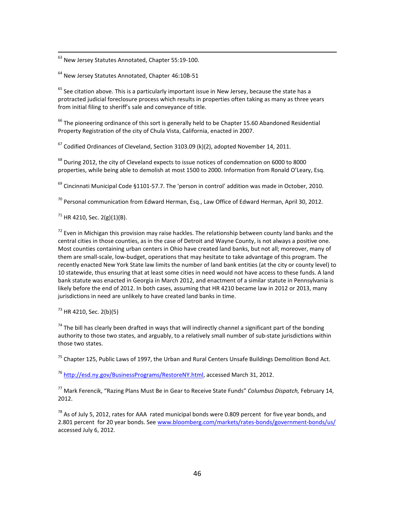63 New Jersey Statutes Annotated, Chapter 55:19-100.

<sup>64</sup> New Jersey Statutes Annotated, Chapter 46:10B-51

 $<sup>65</sup>$  See citation above. This is a particularly important issue in New Jersey, because the state has a</sup> protracted judicial foreclosure process which results in properties often taking as many as three years from initial filing to sheriff's sale and conveyance of title.

 $^{66}$  The pioneering ordinance of this sort is generally held to be Chapter 15.60 Abandoned Residential Property Registration of the city of Chula Vista, California, enacted in 2007.

 $67$  Codified Ordinances of Cleveland, Section 3103.09 (k)(2), adopted November 14, 2011.

 $^{68}$  During 2012, the city of Cleveland expects to issue notices of condemnation on 6000 to 8000 properties, while being able to demolish at most 1500 to 2000. Information from Ronald O'Leary, Esq.

 $^{69}$  Cincinnati Municipal Code §1101-57.7. The 'person in control' addition was made in October, 2010.

 $^{70}$  Personal communication from Edward Herman, Esq., Law Office of Edward Herman, April 30, 2012.

 $71$  HR 4210, Sec. 2(g)(1)(B).

<span id="page-45-0"></span> $^{72}$  Even in Michigan this provision may raise hackles. The relationship between county land banks and the central cities in those counties, as in the case of Detroit and Wayne County, is not always a positive one. Most counties containing urban centers in Ohio have created land banks, but not all; moreover, many of them are small-scale, low-budget, operations that may hesitate to take advantage of this program. The recently enacted New York State law limits the number of land bank entities (at the city or county level) to 10 statewide, thus ensuring that at least some cities in need would not have access to these funds. A land bank statute was enacted in Georgia in March 2012, and enactment of a similar statute in Pennsylvania is likely before the end of 2012. In both cases, assuming that HR 4210 became law in 2012 or 2013, many jurisdictions in need are unlikely to have created land banks in time.

<span id="page-45-1"></span> $^{73}$  HR 4210, Sec. 2(b)(5)

<span id="page-45-3"></span><span id="page-45-2"></span> $74$  The bill has clearly been drafted in ways that will indirectly channel a significant part of the bonding authority to those two states, and arguably, to a relatively small number of sub-state jurisdictions within those two states.

 $75$  Chapter 125, Public Laws of 1997, the Urban and Rural Centers Unsafe Buildings Demolition Bond Act.

<sup>76</sup> [http://esd.ny.gov/BusinessPrograms/RestoreNY.html,](http://esd.ny.gov/BusinessPrograms/RestoreNY.html) accessed March 31, 2012.

<sup>77</sup> Mark Ferencik, "Razing Plans Must Be in Gear to Receive State Funds" *Columbus Dispatch,* February 14, 2012.

 $78$  As of July 5, 2012, rates for AAA rated municipal bonds were 0.809 percent for five year bonds, and 2.801 percent for 20 year bonds. See [www.bloomberg.com/markets/rates-bonds/government-bonds/us/](http://www.bloomberg.com/markets/rates-bonds/government-bonds/us/) accessed July 6, 2012.